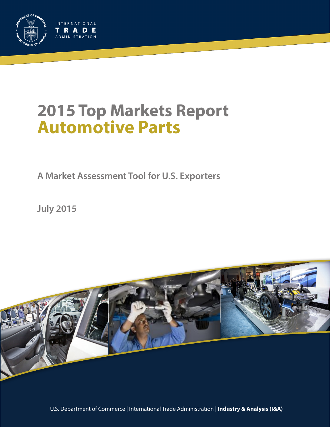

# **2015 Top Markets Report Automotive Parts**

**A Market Assessment Tool for U.S. Exporters**

**July 2015**

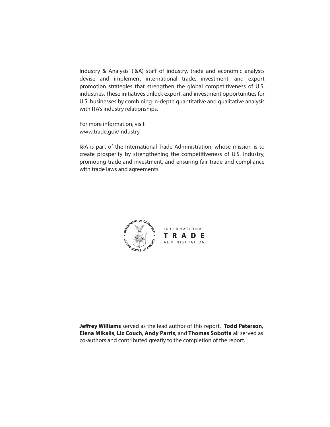Industry & Analysis' (I&A) staff of industry, trade and economic analysts devise and implement international trade, investment, and export promotion strategies that strengthen the global competitiveness of U.S. industries. These initiatives unlock export, and investment opportunities for U.S. businesses by combining in-depth quantitative and qualitative analysis with ITA's industry relationships.

For more information, visit www.trade.gov/industry

I&A is part of the International Trade Administration, whose mission is to create prosperity by strengthening the competitiveness of U.S. industry, promoting trade and investment, and ensuring fair trade and compliance with trade laws and agreements.



**Jeffrey Williams** served as the lead author of this report. **Todd Peterson**, **Elena Mikalis**, **Liz Couch**, **Andy Parris**, and **Thomas Sobotta** all served as co-authors and contributed greatly to the completion of the report.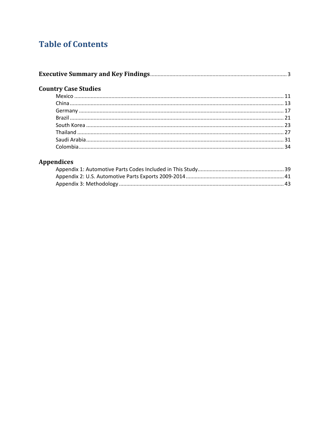# **Table of Contents**

| <b>Country Case Studies</b> |  |
|-----------------------------|--|
|                             |  |
|                             |  |
|                             |  |
|                             |  |
|                             |  |
|                             |  |
|                             |  |
|                             |  |
|                             |  |

# Appendices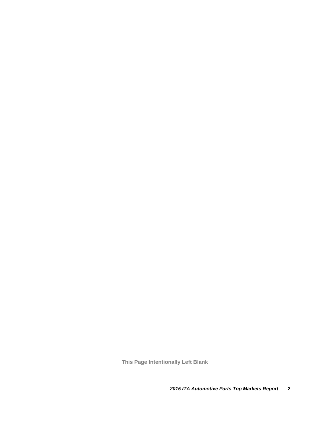**This Page Intentionally Left Blank**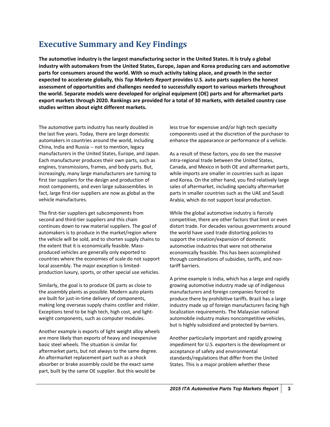# <span id="page-4-0"></span>**Executive Summary and Key Findings**

**The automotive industry is the largest manufacturing sector in the United States. It is truly a global industry with automakers from the United States, Europe, Japan and Korea producing cars and automotive parts for consumers around the world. With so much activity taking place, and growth in the sector expected to accelerate globally, this** *Top Markets Report* **provides U.S. auto parts suppliers the honest assessment of opportunities and challenges needed to successfully export to various markets throughout the world. Separate models were developed for original equipment (OE) parts and for aftermarket parts export markets through 2020. Rankings are provided for a total of 30 markets, with detailed country case studies written about eight different markets.**

The automotive parts industry has nearly doubled in the last five years. Today, there are large domestic automakers in countries around the world, including China, India and Russia -- not to mention, legacy manufacturers in the United States, Europe, and Japan. Each manufacturer produces their own parts, such as engines, transmissions, frames, and body parts. But, increasingly, many large manufacturers are turning to first tier suppliers for the design and production of most components, and even large subassemblies. In fact, large first-tier suppliers are now as global as the vehicle manufactures.

The first-tier suppliers get subcomponents from second and third-tier suppliers and this chain continues down to raw material suppliers. The goal of automakers is to produce in the market/region where the vehicle will be sold, and to shorten supply chains to the extent that it is economically feasible. Massproduced vehicles are generally only exported to countries where the economies of scale do not support local assembly. The major exception is limitedproduction luxury, sports, or other special use vehicles.

Similarly, the goal is to produce OE parts as close to the assembly plants as possible. Modern auto plants are built for just-in-time delivery of components, making long overseas supply chains costlier and riskier. Exceptions tend to be high tech, high cost, and lightweight components, such as computer modules.

Another example is exports of light weight alloy wheels are more likely than exports of heavy and inexpensive basic steel wheels. The situation is similar for aftermarket parts, but not always to the same degree. An aftermarket replacement part such as a shock absorber or brake assembly could be the exact same part, built by the same OE supplier. But this would be

less true for expensive and/or high tech specialty components used at the discretion of the purchaser to enhance the appearance or performance of a vehicle.

As a result of these factors, you do see the massive intra-regional trade between the United States, Canada, and Mexico in both OE and aftermarket parts, while imports are smaller in countries such as Japan and Korea. On the other hand, you find relatively large sales of aftermarket, including specialty aftermarket parts in smaller countries such as the UAE and Saudi Arabia, which do not support local production.

While the global automotive industry is fiercely competitive, there are other factors that limit or even distort trade. For decades various governments around the world have used trade distorting policies to support the creation/expansion of domestic automotive industries that were not otherwise economically feasible. This has been accomplished through combinations of subsidies, tariffs, and nontariff barriers.

A prime example is India, which has a large and rapidly growing automotive industry made up of indigenous manufacturers and foreign companies forced to produce there by prohibitive tariffs. Brazil has a large industry made up of foreign manufacturers facing high localization requirements. The Malaysian national automobile industry makes noncompetitive vehicles, but is highly subsidized and protected by barriers.

Another particularly important and rapidly growing impediment for U.S. exporters is the development or acceptance of safety and environmental standards/regulations that differ from the United States. This is a major problem whether these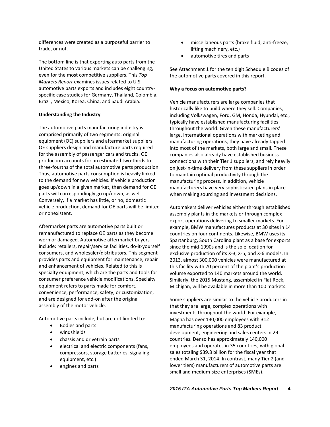differences were created as a purposeful barrier to trade, or not.

The bottom line is that exporting auto parts from the United States to various markets can be challenging, even for the most competitive suppliers. This *Top Markets Report* examines issues related to U.S. automotive parts exports and includes eight countryspecific case studies for Germany, Thailand, Colombia, Brazil, Mexico, Korea, China, and Saudi Arabia.

#### **Understanding the Industry**

The automotive parts manufacturing industry is comprised primarily of two segments: original equipment (OE) suppliers and aftermarket suppliers. OE suppliers design and manufacture parts required for the assembly of passenger cars and trucks. OE production accounts for an estimated two-thirds to three-fourths of the total automotive parts production. Thus, automotive parts consumption is heavily linked to the demand for new vehicles. If vehicle production goes up/down in a given market, then demand for OE parts will correspondingly go up/down, as well. Conversely, if a market has little, or no, domestic vehicle production, demand for OE parts will be limited or nonexistent.

Aftermarket parts are automotive parts built or remanufactured to replace OE parts as they become worn or damaged. Automotive aftermarket buyers include: retailers, repair/service facilities, do-it-yourself consumers, and wholesaler/distributors. This segment provides parts and equipment for maintenance, repair and enhancement of vehicles. Related to this is specialty equipment, which are the parts and tools for consumer preference vehicle modifications. Specialty equipment refers to parts made for comfort, convenience, performance, safety, or customization, and are designed for add-on after the original assembly of the motor vehicle.

Automotive parts include, but are not limited to:

- Bodies and parts
- windshields
- chassis and drivetrain parts
- electrical and electric components (fans, compressors, storage batteries, signaling equipment, etc.)
- engines and parts
- miscellaneous parts (brake fluid, anti-freeze, lifting machinery, etc.)
- automotive tires and parts

See Attachment 1 for the ten digit Schedule B codes of the automotive parts covered in this report.

#### **Why a focus on automotive parts?**

Vehicle manufacturers are large companies that historically like to build where they sell. Companies, including Volkswagen, Ford, GM, Honda, Hyundai, etc., typically have established manufacturing facilities throughout the world. Given these manufacturers' large, international operations with marketing and manufacturing operations, they have already tapped into most of the markets, both large and small. These companies also already have established business connections with their Tier 1 suppliers, and rely heavily on just-in-time delivery from these suppliers in order to maintain optimal productivity through the manufacturing process. In addition, vehicle manufacturers have very sophisticated plans in place when making sourcing and investment decisions.

Automakers deliver vehicles either through established assembly plants in the markets or through complex export operations delivering to smaller markets. For example, BMW manufactures products at 30 sites in 14 countries on four continents. Likewise, BMW uses its Spartanburg, South Carolina plant as a base for exports since the mid-1990s and is the sole location for exclusive production of its X-3, X-5, and X-6 models. In 2013, almost 300,000 vehicles were manufactured at this facility with 70 percent of the plant's production volume exported to 140 markets around the world. Similarly, the 2015 Mustang, assembled in Flat Rock, Michigan, will be available in more than 100 markets.

Some suppliers are similar to the vehicle producers in that they are large, complex operations with investments throughout the world. For example, Magna has over 130,000 employees with 312 manufacturing operations and 83 product development, engineering and sales centers in 29 countries. Denso has approximately 140,000 employees and operates in 35 countries, with global sales totaling \$39.8 billion for the fiscal year that ended March 31, 2014. In contrast, many Tier 2 (and lower tiers) manufacturers of automotive parts are small and medium-size enterprises (SMEs).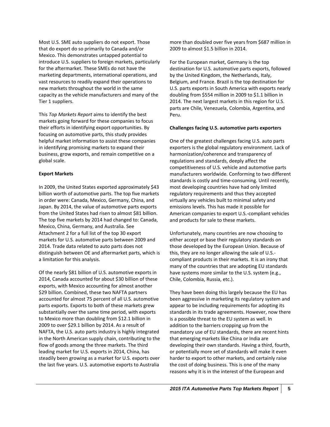Most U.S. SME auto suppliers do not export. Those that do export do so primarily to Canada and/or Mexico. This demonstrates untapped potential to introduce U.S. suppliers to foreign markets, particularly for the aftermarket. These SMEs do not have the marketing departments, international operations, and vast resources to readily expand their operations to new markets throughout the world in the same capacity as the vehicle manufacturers and many of the Tier 1 suppliers.

This *Top Markets Report* aims to identify the best markets going forward for these companies to focus their efforts in identifying export opportunities. By focusing on automotive parts, this study provides helpful market information to assist these companies in identifying promising markets to expand their business, grow exports, and remain competitive on a global scale.

#### **Export Markets**

In 2009, the United States exported approximately \$43 billion worth of automotive parts. The top five markets in order were: Canada, Mexico, Germany, China, and Japan. By 2014, the value of automotive parts exports from the United States had risen to almost \$81 billion. The top five markets by 2014 had changed to: Canada, Mexico, China, Germany, and Australia. See Attachment 2 for a full list of the top 30 export markets for U.S. automotive parts between 2009 and 2014. Trade data related to auto parts does not distinguish between OE and aftermarket parts, which is a limitation for this analysis.

Of the nearly \$81 billion of U.S. automotive exports in 2014, Canada accounted for about \$30 billion of these exports, with Mexico accounting for almost another \$29 billion. Combined, these two NAFTA partners accounted for almost 75 percent of all U.S. automotive parts exports. Exports to both of these markets grew substantially over the same time period, with exports to Mexico more than doubling from \$12.1 billion in 2009 to over \$29.1 billion by 2014. As a result of NAFTA, the U.S. auto parts industry is highly integrated in the North American supply chain, contributing to the flow of goods among the three markets. The third leading market for U.S. exports in 2014, China, has steadily been growing as a market for U.S. exports over the last five years. U.S. automotive exports to Australia

more than doubled over five years from \$687 million in 2009 to almost \$1.5 billion in 2014.

For the European market, Germany is the top destination for U.S. automotive parts exports, followed by the United Kingdom, the Netherlands, Italy, Belgium, and France. Brazil is the top destination for U.S. parts exports in South America with exports nearly doubling from \$554 million in 2009 to \$1.1 billion in 2014. The next largest markets in this region for U.S. parts are Chile, Venezuela, Colombia, Argentina, and Peru.

#### **Challenges facing U.S. automotive parts exporters**

One of the greatest challenges facing U.S. auto parts exporters is the global regulatory environment. Lack of harmonization/coherence and transparency of regulations and standards, deeply affect the competitiveness of U.S. vehicle and automotive parts manufacturers worldwide. Conforming to two different standards is costly and time-consuming. Until recently, most developing countries have had only limited regulatory requirements and thus they accepted virtually any vehicles built to minimal safety and emissions levels. This has made it possible for American companies to export U.S.-compliant vehicles and products for sale to these markets.

Unfortunately, many countries are now choosing to either accept or base their regulatory standards on those developed by the European Union. Because of this, they are no longer allowing the sale of U.S. compliant products in their markets. It is an irony that many of the countries that are adopting EU standards have systems more similar to the U.S. system (e.g., Chile, Colombia, Russia, etc.).

They have been doing this largely because the EU has been aggressive in marketing its regulatory system and appear to be including requirements for adopting its standards in its trade agreements. However, now there is a possible threat to the EU system as well. In addition to the barriers cropping up from the mandatory use of EU standards, there are recent hints that emerging markets like China or India are developing their own standards. Having a third, fourth, or potentially more set of standards will make it even harder to export to other markets, and certainly raise the cost of doing business. This is one of the many reasons why it is in the interest of the European and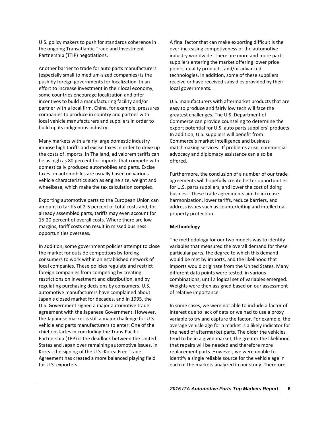U.S. policy makers to push for standards coherence in the ongoing Transatlantic Trade and Investment Partnership (TTIP) negotiations.

Another barrier to trade for auto parts manufacturers (especially small to medium-sized companies) is the push by foreign governments for localization. In an effort to increase investment in their local economy, some countries encourage localization and offer incentives to build a manufacturing facility and/or partner with a local firm. China, for example, pressures companies to produce in country and partner with local vehicle manufacturers and suppliers in order to build up its indigenous industry.

Many markets with a fairly large domestic industry impose high tariffs and excise taxes in order to drive up the costs of imports. In Thailand, ad valorem tariffs can be as high as 80 percent for imports that compete with domestically produced automobiles and parts. Excise taxes on automobiles are usually based on various vehicle characteristics such as engine size, weight and wheelbase, which make the tax calculation complex.

Exporting automotive parts to the European Union can amount to tariffs of 2-5 percent of total costs and, for already assembled parts, tariffs may even account for 15-20 percent of overall costs. Where there are low margins, tariff costs can result in missed business opportunities overseas.

In addition, some government policies attempt to close the market for outside competitors by forcing consumers to work within an established network of local companies. These policies regulate and restrict foreign companies from competing by creating restrictions on investment and distribution, and by regulating purchasing decisions by consumers. U.S. automotive manufacturers have complained about Japan's closed market for decades, and in 1995, the U.S. Government signed a major automotive trade agreement with the Japanese Government. However, the Japanese market is still a major challenge for U.S. vehicle and parts manufacturers to enter. One of the chief obstacles in concluding the Trans-Pacific Partnership (TPP) is the deadlock between the United States and Japan over remaining automotive issues. In Korea, the signing of the U.S.-Korea Free Trade Agreement has created a more balanced playing field for U.S. exporters.

A final factor that can make exporting difficult is the ever-increasing competiveness of the automotive industry worldwide. There are more and more parts suppliers entering the market offering lower price points, quality products, and/or advanced technologies. In addition, some of these suppliers receive or have received subsidies provided by their local governments.

U.S. manufacturers with aftermarket products that are easy to produce and fairly low tech will face the greatest challenges. The U.S. Department of Commerce can provide counseling to determine the export potential for U.S. auto parts suppliers' products. In addition, U.S. suppliers will benefit from Commerce's market intelligence and business matchmaking services. If problems arise, commercial advocacy and diplomacy assistance can also be offered.

Furthermore, the conclusion of a number of our trade agreements will hopefully create better opportunities for U.S. parts suppliers, and lower the cost of doing business. These trade agreements aim to increase harmonization, lower tariffs, reduce barriers, and address issues such as counterfeiting and intellectual property protection.

#### **Methodology**

The methodology for our two models was to identify variables that measured the overall demand for these particular parts, the degree to which this demand would be met by imports, and the likelihood that imports would originate from the United States. Many different data points were tested, in various combinations, until a logical set of variables emerged. Weights were then assigned based on our assessment of relative importance.

In some cases, we were not able to include a factor of interest due to lack of data or we had to use a proxy variable to try and capture the factor. For example, the average vehicle age for a market is a likely indicator for the need of aftermarket parts. The older the vehicles tend to be in a given market, the greater the likelihood that repairs will be needed and therefore more replacement parts. However, we were unable to identify a single reliable source for the vehicle age in each of the markets analyzed in our study. Therefore,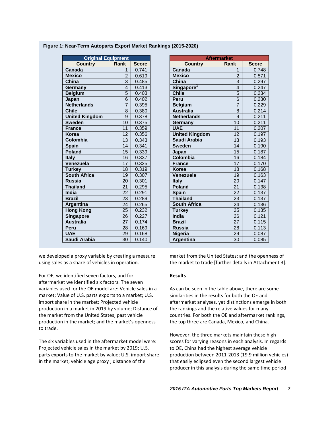| Figure 1: Near-Term Autoparts Export Market Rankings (2015-2020) |  |  |  |
|------------------------------------------------------------------|--|--|--|
|                                                                  |  |  |  |

| <b>Original Equipment</b> |                 |              |                        | <b>Aftermarket</b> |
|---------------------------|-----------------|--------------|------------------------|--------------------|
| <b>Country</b>            | <b>Rank</b>     | <b>Score</b> | <b>Country</b>         | Ran                |
| Canada                    | 1               | 0.741        | Canada                 |                    |
| <b>Mexico</b>             | $\overline{2}$  | 0.619        | <b>Mexico</b>          |                    |
| China                     | $\overline{3}$  | 0.485        | China                  |                    |
| Germany                   | $\overline{4}$  | 0.413        | Singapore <sup>1</sup> |                    |
| <b>Belgium</b>            | 5               | 0.403        | <b>Chile</b>           |                    |
| Japan                     | 6               | 0.402        | Peru                   |                    |
| <b>Netherlands</b>        | $\overline{7}$  | 0.395        | <b>Belgium</b>         |                    |
| <b>Chile</b>              | 8               | 0.380        | <b>Australia</b>       |                    |
| <b>United Kingdom</b>     | 9               | 0.378        | <b>Netherlands</b>     |                    |
| <b>Sweden</b>             | 10              | 0.375        | Germany                |                    |
| <b>France</b>             | $\overline{11}$ | 0.359        | <b>UAE</b>             |                    |
| <b>Korea</b>              | 12 <sup>2</sup> | 0.356        | <b>United Kingdom</b>  |                    |
| Colombia                  | 13              | 0.343        | <b>Saudi Arabia</b>    |                    |
| <b>Spain</b>              | 14              | 0.341        | <b>Sweden</b>          |                    |
| Poland                    | 15              | 0.339        | Japan                  |                    |
| <b>Italy</b>              | 16              | 0.337        | Colombia               |                    |
| Venezuela                 | 17              | 0.325        | <b>France</b>          |                    |
| <b>Turkey</b>             | 18              | 0.319        | Korea                  |                    |
| <b>South Africa</b>       | 19              | 0.307        | Venezuela              |                    |
| <b>Russia</b>             | 20              | 0.301        | <b>Italy</b>           |                    |
| Thailand                  | 21              | 0.295        | Poland                 |                    |
| India                     | 22              | 0.291        | <b>Spain</b>           |                    |
| <b>Brazil</b>             | 23              | 0.289        | <b>Thailand</b>        |                    |
| <b>Argentina</b>          | 24              | 0.265        | <b>South Africa</b>    |                    |
| <b>Hong Kong</b>          | 25              | 0.232        | <b>Turkey</b>          |                    |
| Singapore                 | 26              | 0.227        | <b>India</b>           |                    |
| <b>Australia</b>          | 27              | 0.174        | <b>Brazil</b>          |                    |
| Peru                      | 28              | 0.169        | <b>Russia</b>          |                    |
| <b>UAE</b>                | 29              | 0.168        | Nigeria                |                    |
| Saudi Arabia              | 30              | 0.140        | Argentina              |                    |

we developed a proxy variable by creating a measure using sales as a share of vehicles in operation.

For OE, we identified seven factors, and for aftermarket we identified six factors. The seven variables used for the OE model are: Vehicle sales in a market; Value of U.S. parts exports to a market; U.S. import share in the market; Projected vehicle production in a market in 2019 by volume; Distance of the market from the United States; past vehicle production in the market; and the market's openness to trade.

The six variables used in the aftermarket model were: Projected vehicle sales in the market by 2019; U.S. parts exports to the market by value; U.S. import share in the market; vehicle age proxy ; distance of the

| <b>Original Equipment</b> |                 |              |                        | <b>Aftermarket</b> |              |
|---------------------------|-----------------|--------------|------------------------|--------------------|--------------|
| <b>Country</b>            | Rank            | <b>Score</b> | <b>Country</b>         | <b>Rank</b>        | <b>Score</b> |
| Canada                    | 1               | 0.741        | Canada                 | 1                  | 0.748        |
| Mexico                    | $\overline{2}$  | 0.619        | <b>Mexico</b>          | $\overline{2}$     | 0.571        |
| $\overline{\text{China}}$ | 3               | 0.485        | China                  | $\overline{3}$     | 0.297        |
| Germany                   | 4               | 0.413        | Singapore <sup>1</sup> | $\overline{4}$     | 0.247        |
| Belgium                   | 5               | 0.403        | <b>Chile</b>           | $\overline{5}$     | 0.234        |
| <b>Japan</b>              | 6               | 0.402        | Peru                   | 6                  | 0.230        |
| <b>Netherlands</b>        | $\overline{7}$  | 0.395        | <b>Belgium</b>         | $\overline{7}$     | 0.229        |
| <b>Chile</b>              | 8               | 0.380        | <b>Australia</b>       | 8                  | 0.214        |
| <b>United Kingdom</b>     | 9               | 0.378        | <b>Netherlands</b>     | $\overline{9}$     | 0.211        |
| <b>Sweden</b>             | 10              | 0.375        | Germany                | 10                 | 0.211        |
| France                    | 11              | 0.359        | <b>UAE</b>             | 11                 | 0.207        |
| Korea                     | 12              | 0.356        | <b>United Kingdom</b>  | 12                 | 0.197        |
| Colombia                  | 13              | 0.343        | Saudi Arabia           | 13                 | 0.193        |
| <b>Spain</b>              | 14              | 0.341        | <b>Sweden</b>          | 14                 | 0.190        |
| Poland                    | 15              | 0.339        | Japan                  | 15                 | 0.187        |
| <b>Italy</b>              | 16              | 0.337        | Colombia               | 16                 | 0.184        |
| Venezuela                 | 17              | 0.325        | <b>France</b>          | $\overline{17}$    | 0.170        |
| <b>Turkey</b>             | 18              | 0.319        | <b>Korea</b>           | 18                 | 0.168        |
| <b>South Africa</b>       | 19              | 0.307        | Venezuela              | 19                 | 0.163        |
| Russia                    | 20              | 0.301        | <b>Italy</b>           | 20                 | 0.147        |
| <b>Thailand</b>           | 21              | 0.295        | Poland                 | $\overline{21}$    | 0.138        |
| India                     | 22              | 0.291        | <b>Spain</b>           | 22                 | 0.137        |
| <b>Brazil</b>             | 23              | 0.289        | <b>Thailand</b>        | 23                 | 0.137        |
| <b>Argentina</b>          | $\overline{24}$ | 0.265        | <b>South Africa</b>    | $\overline{24}$    | 0.136        |
| <b>Hong Kong</b>          | $\overline{25}$ | 0.232        | <b>Turkey</b>          | $\overline{25}$    | 0.135        |
| <b>Singapore</b>          | 26              | 0.227        | <b>India</b>           | 26                 | 0.121        |
| <b>Australia</b>          | $\overline{27}$ | 0.174        | <b>Brazil</b>          | $\overline{27}$    | 0.115        |
| Peru                      | 28              | 0.169        | <b>Russia</b>          | 28                 | 0.113        |
| <b>UAE</b>                | 29              | 0.168        | Nigeria                | 29                 | 0.087        |
| Saudi Arabia              | $\overline{30}$ | 0.140        | Argentina              | $\overline{30}$    | 0.085        |

market from the United States; and the openness of the market to trade [further details in Attachment 3].

#### **Results**

As can be seen in the table above, there are some similarities in the results for both the OE and aftermarket analyses, yet distinctions emerge in both the rankings and the relative values for many countries. For both the OE and aftermarket rankings, the top three are Canada, Mexico, and China.

However, the three markets maintain these high scores for varying reasons in each analysis. In regards to OE, China had the highest average vehicle production between 2011-2013 (19.9 million vehicles) that easily eclipsed even the second largest vehicle producer in this analysis during the same time period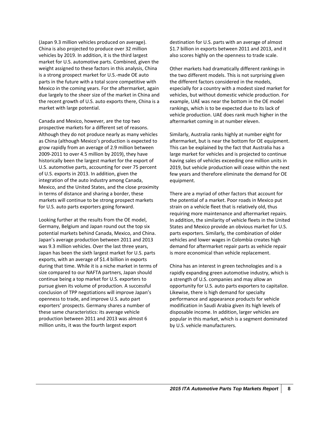(Japan 9.3 million vehicles produced on average). China is also projected to produce over 32 million vehicles by 2019. In addition, it is the third largest market for U.S. automotive parts. Combined, given the weight assigned to these factors in this analysis, China is a strong prospect market for U.S.-made OE auto parts in the future with a total score competitive with Mexico in the coming years. For the aftermarket, again due largely to the sheer size of the market in China and the recent growth of U.S. auto exports there, China is a market with large potential.

Canada and Mexico, however, are the top two prospective markets for a different set of reasons. Although they do not produce nearly as many vehicles as China (although Mexico's production is expected to grow rapidly from an average of 2.9 million between 2009-2011 to over 4.5 million by 2019), they have historically been the largest market for the export of U.S. automotive parts, accounting for over 75 percent of U.S. exports in 2013. In addition, given the integration of the auto industry among Canada, Mexico, and the United States, and the close proximity in terms of distance and sharing a border, these markets will continue to be strong prospect markets for U.S. auto parts exporters going forward.

Looking further at the results from the OE model, Germany, Belgium and Japan round out the top six potential markets behind Canada, Mexico, and China. Japan's average production between 2011 and 2013 was 9.3 million vehicles. Over the last three years, Japan has been the sixth largest market for U.S. parts exports, with an average of \$1.4 billion in exports during that time. While it is a niche market in terms of size compared to our NAFTA partners, Japan should continue being a top market for U.S. exporters to pursue given its volume of production. A successful conclusion of TPP negotiations will improve Japan's openness to trade, and improve U.S. auto part exporters' prospects. Germany shares a number of these same characteristics: its average vehicle production between 2011 and 2013 was almost 6 million units, it was the fourth largest export

destination for U.S. parts with an average of almost \$1.7 billion in exports between 2011 and 2013, and it also scores highly on the openness to trade scale.

Other markets had dramatically different rankings in the two different models. This is not surprising given the different factors considered in the models, especially for a country with a modest sized market for vehicles, but without domestic vehicle production. For example, UAE was near the bottom in the OE model rankings, which is to be expected due to its lack of vehicle production. UAE does rank much higher in the aftermarket coming in at number eleven.

Similarly, Australia ranks highly at number eight for aftermarket, but is near the bottom for OE equipment. This can be explained by the fact that Australia has a large market for vehicles and is projected to continue having sales of vehicles exceeding one million units in 2019, but vehicle production will cease within the next few years and therefore eliminate the demand for OE equipment.

There are a myriad of other factors that account for the potential of a market. Poor roads in Mexico put strain on a vehicle fleet that is relatively old, thus requiring more maintenance and aftermarket repairs. In addition, the similarity of vehicle fleets in the United States and Mexico provide an obvious market for U.S. parts exporters. Similarly, the combination of older vehicles and lower wages in Colombia creates high demand for aftermarket repair parts as vehicle repair is more economical than vehicle replacement.

China has an interest in green technologies and is a rapidly expanding green automotive industry, which is a strength of U.S. companies and may allow an opportunity for U.S. auto parts exporters to capitalize. Likewise, there is high demand for specialty performance and appearance products for vehicle modification in Saudi Arabia given its high levels of disposable income. In addition, larger vehicles are popular in this market, which is a segment dominated by U.S. vehicle manufacturers.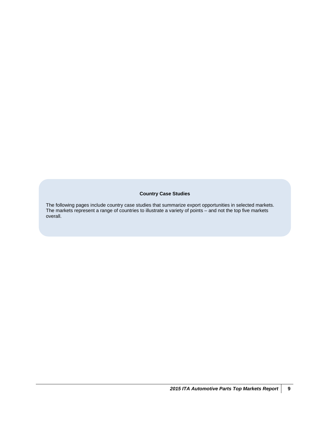#### **Country Case Studies**

The following pages include country case studies that summarize export opportunities in selected markets. The markets represent a range of countries to illustrate a variety of points – and not the top five markets overall.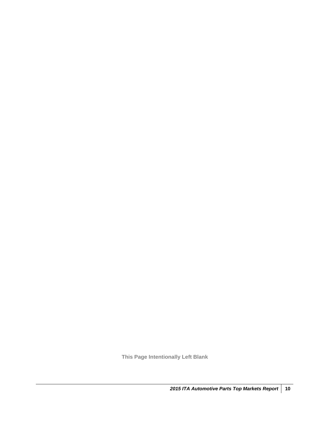**This Page Intentionally Left Blank**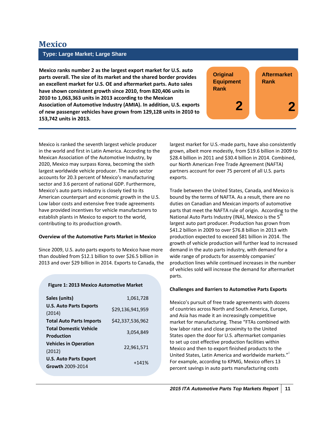# <span id="page-12-0"></span>**Mexico Type: Large Market; Large Share**

**Mexico ranks number 2 as the largest export market for U.S. auto parts overall. The size of its market and the shared border provides an excellent market for U.S. OE and aftermarket parts. Auto sales have shown consistent growth since 2010, from 820,406 units in 2010 to 1,063,363 units in 2013 according to the Mexican Association of Automotive Industry (AMIA). In addition, U.S. exports of new passenger vehicles have grown from 129,128 units in 2010 to 153,742 units in 2013.**

| <b>Original</b><br><b>Equipment</b><br><b>Rank</b> | <b>Aftermarket</b><br><b>Rank</b> |
|----------------------------------------------------|-----------------------------------|
|                                                    |                                   |

Mexico is ranked the seventh largest vehicle producer in the world and first in Latin America. According to the Mexican Association of the Automotive Industry, by 2020, Mexico may surpass Korea, becoming the sixth largest worldwide vehicle producer. The auto sector accounts for 20.3 percent of Mexico's manufacturing sector and 3.6 percent of national GDP. Furthermore, Mexico's auto parts industry is closely tied to its American counterpart and economic growth in the U.S. Low labor costs and extensive free trade agreements have provided incentives for vehicle manufacturers to establish plants in Mexico to export to the world, contributing to its production growth.

#### **Overview of the Automotive Parts Market in Mexico**

Since 2009, U.S. auto parts exports to Mexico have more than doubled from \$12.1 billion to over \$26.5 billion in 2013 and over \$29 billion in 2014. Exports to Canada, the

#### **Figure 1: 2013 Mexico Automotive Market**

| Sales (units)                                     | 1,061,728        |
|---------------------------------------------------|------------------|
| <b>U.S. Auto Parts Exports</b><br>(2014)          | \$29,136,941,959 |
| <b>Total Auto Parts Imports</b>                   | \$42,337,536,962 |
| <b>Total Domestic Vehicle</b><br>Production       | 3,054,849        |
| <b>Vehicles in Operation</b><br>(2012)            | 22,961,571       |
| <b>U.S. Auto Parts Export</b><br>Growth 2009-2014 | $+141%$          |

largest market for U.S.-made parts, have also consistently grown, albeit more modestly, from \$19.6 billion in 2009 to \$28.4 billion in 2011 and \$30.4 billion in 2014. Combined, our North American Free Trade Agreement (NAFTA) partners account for over 75 percent of all U.S. parts exports.

Trade between the United States, Canada, and Mexico is bound by the terms of NAFTA. As a result, there are no duties on Canadian and Mexican imports of automotive parts that meet the NAFTA rule of origin. According to the National Auto Parts Industry (INA), Mexico is the 5<sup>th</sup> largest auto part producer. Production has grown from \$41.2 billion in 2009 to over \$76.8 billion in 2013 with production expected to exceed \$81 billion in 2014. The growth of vehicle production will further lead to increased demand in the auto parts industry, with demand for a wide range of products for assembly companies' production lines while continued increases in the number of vehicles sold will increase the demand for aftermarket parts.

#### **Challenges and Barriers to Automotive Parts Exports**

Mexico's pursuit of free trade agreements with dozens of countries across North and South America, Europe, and Asia has made it an increasingly competitive market for manufacturing. These "FTAs combined with low labor rates and close proximity to the United States open the door for U.S. aftermarket companies to set up cost effective production facilities within Mexico and then to export finished products to the Un[i](#page-45-0)ted States, Latin America and worldwide markets."<sup>i</sup> For example, according to KPMG, Mexico offers 13 percent savings in auto parts manufacturing costs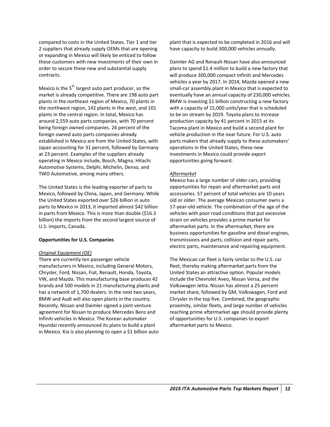compared to costs in the United States. Tier 1 and tier 2 suppliers that already supply OEMs that are opening or expanding in Mexico will likely be enticed to follow these customers with new investments of their own in order to secure these new and substantial supply contracts.

Mexico is the  $5<sup>th</sup>$  largest auto part producer, so the market is already competitive. There are 198 auto part plants in the northeast region of Mexico, 70 plants in the northwest region, 142 plants in the west, and 101 plants in the central region. In total, Mexico has around 2,559 auto parts companies, with 70 percent being foreign owned companies. 26 percent of the foreign owned auto parts companies already established in Mexico are from the United States, with Japan accounting for 31 percent, followed by Germany at 23 percent. Examples of the suppliers already operating in Mexico include, Bosch, Magna, Hitachi Automotive Systems, Delphi, Michelin, Denso, and TWO Automotive, among many others.

The United States is the leading exporter of parts to Mexico, followed by China, Japan, and Germany. While the United States exported over \$26 billion in auto parts to Mexico in 2013, it imported almost \$42 billion in parts from Mexico. This is more than double (\$16.3 billion) the imports from the second largest source of U.S. imports, Canada.

#### **Opportunities for U.S. Companies**

#### *Original Equipment (OE)*

There are currently ten passenger vehicle manufacturers in Mexico, including General Motors, Chrysler, Ford, Nissan, Fiat, Renault, Honda, Toyota, VW, and Mazda. This manufacturing base produces 42 brands and 500 models in 21 manufacturing plants and has a network of 1,700 dealers. In the next two years, BMW and Audi will also open plants in the country. Recently, Nissan and Daimler signed a joint venture agreement for Nissan to produce Mercedes Benz and Infiniti vehicles in Mexico. The Korean automaker Hyundai recently announced its plans to build a plant in Mexico. Kia is also planning to open a \$1 billion auto

plant that is expected to be completed in 2016 and will have capacity to build 300,000 vehicles annually.

Daimler AG and Renault-Nissan have also announced plans to spend \$1.4 million to build a new factory that will produce 300,000 compact Infiniti and Mercedes vehicles a year by 2017. In 2014, Mazda opened a new small-car assembly plant in Mexico that is expected to eventually have an annual capacity of 230,000 vehicles. BMW is investing \$1 billion constructing a new factory with a capacity of 15,000 units/year that is scheduled to be on stream by 2019. Toyota plans to increase production capacity by 41 percent in 2015 at its Tacoma plant in Mexico and build a second plant for vehicle production in the near future. For U.S. auto parts makers that already supply to these automakers' operations in the United States, these new investments in Mexico could provide export opportunities going forward.

#### *Aftermarket*

Mexico has a large number of older cars, providing opportunities for repair and aftermarket parts and accessories. 57 percent of total vehicles are 10 years old or older. The average Mexican consumer owns a 17-year-old vehicle. The combination of the age of the vehicles with poor road conditions that put excessive strain on vehicles provides a prime market for aftermarket parts. In the aftermarket, there are business opportunities for gasoline and diesel engines, transmissions and parts, collision and repair parts, electric parts, maintenance and repairing equipment.

The Mexican car fleet is fairly similar to the U.S. car fleet, thereby making aftermarket parts from the United States an attractive option. Popular models include the Chevrolet Aveo, Nissan Versa, and the Volkswagen Jetta. Nissan has almost a 25 percent market share, followed by GM, Volkswagen, Ford and Chrysler in the top five. Combined, the geographic proximity, similar fleets, and large number of vehicles reaching prime aftermarket age should provide plenty of opportunities for U.S. companies to export aftermarket parts to Mexico.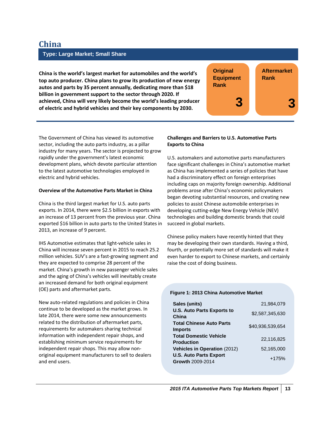# <span id="page-14-0"></span>**China Type: Large Market; Small Share**

**China is the world's largest market for automobiles and the world's top auto producer. China plans to grow its production of new energy autos and parts by 35 percent annually, dedicating more than \$18 billion in government support to the sector through 2020. If achieved, China will very likely become the world's leading producer of electric and hybrid vehicles and their key components by 2030.** 

**Original Equipment Rank**

**3**

**Aftermarket**

**3**

**Rank**

The Government of China has viewed its automotive sector, including the auto parts industry, as a pillar industry for many years. The sector is projected to grow rapidly under the government's latest economic development plans, which devote particular attention to the latest automotive technologies employed in electric and hybrid vehicles.

#### **Overview of the Automotive Parts Market in China**

China is the third largest market for U.S. auto parts exports. In 2014, there were \$2.5 billion in exports with an increase of 13 percent from the previous year. China exported \$16 billion in auto parts to the United States in 2013, an increase of 9 percent.

IHS Automotive estimates that light-vehicle sales in China will increase seven percent in 2015 to reach 25.2 million vehicles. SUV's are a fast-growing segment and they are expected to comprise 28 percent of the market. China's growth in new passenger vehicle sales and the aging of China's vehicles will inevitably create an increased demand for both original equipment (OE) parts and aftermarket parts.

New auto-related regulations and policies in China continue to be developed as the market grows. In late 2014, there were some new announcements related to the distribution of aftermarket parts, requirements for automakers sharing technical information with independent repair shops, and establishing minimum service requirements for independent repair shops. This may allow nonoriginal equipment manufacturers to sell to dealers and end users.

#### **Challenges and Barriers to U.S. Automotive Parts Exports to China**

U.S. automakers and automotive parts manufacturers face significant challenges in China's automotive market as China has implemented a series of policies that have had a discriminatory effect on foreign enterprises including caps on majority foreign ownership. Additional problems arose after China's economic policymakers began devoting substantial resources, and creating new policies to assist Chinese automobile enterprises in developing cutting-edge New Energy Vehicle (NEV) technologies and building domestic brands that could succeed in global markets.

Chinese policy makers have recently hinted that they may be developing their own standards. Having a third, fourth, or potentially more set of standards will make it even harder to export to Chinese markets, and certainly raise the cost of doing business.

#### **Figure 1: 2013 China Automotive Market**

| Sales (units)                              | 21,984,079       |
|--------------------------------------------|------------------|
| <b>U.S. Auto Parts Exports to</b><br>China | \$2,587,345,630  |
|                                            |                  |
| <b>Total Chinese Auto Parts</b>            | \$40.936.539.654 |
| <b>Imports</b>                             |                  |
| <b>Total Domestic Vehicle</b>              | 22,116,825       |
| <b>Production</b>                          |                  |
| <b>Vehicles in Operation (2012)</b>        | 52,165,000       |
| <b>U.S. Auto Parts Export</b>              |                  |
| Growth 2009-2014                           | $+175%$          |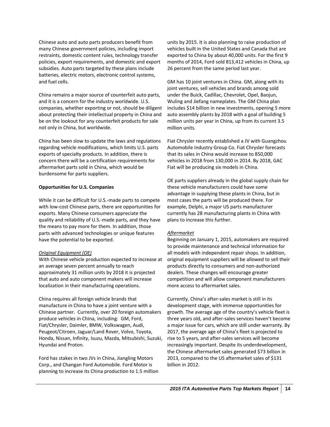Chinese auto and auto parts producers benefit from many Chinese government policies, including import restraints, domestic content rules, technology transfer policies, export requirements, and domestic and export subsidies. Auto parts targeted by these plans include batteries, electric motors, electronic control systems, and fuel cells.

China remains a major source of counterfeit auto parts, and it is a concern for the industry worldwide. U.S. companies, whether exporting or not, should be diligent about protecting their intellectual property in China and be on the lookout for any counterfeit products for sale not only in China, but worldwide.

China has been slow to update the laws and regulations regarding vehicle modifications, which limits U.S. parts exports of specialty products. In addition, there is concern there will be a certification requirements for aftermarket parts sold in China, which would be burdensome for parts suppliers.

#### **Opportunities for U.S. Companies**

While it can be difficult for U.S.-made parts to compete with low-cost Chinese parts, there are opportunities for exports. Many Chinese consumers appreciate the quality and reliability of U.S.-made parts, and they have the means to pay more for them. In addition, those parts with advanced technologies or unique features have the potential to be exported.

#### *Original Equipment (OE)*

With Chinese vehicle production expected to increase at an average seven percent annually to reach approximately 31 million units by 2018 it is projected that auto and auto component makers will increase localization in their manufacturing operations.

China requires all foreign vehicle brands that manufacture in China to have a joint venture with a Chinese partner. Currently, over 20 foreign automakers produce vehicles in China, including: GM, Ford, Fiat/Chrysler, Daimler, BMW, Volkswagen, Audi, Peugeot/Citroen, Jaguar/Land Rover, Volvo, Toyota, Honda, Nissan, Infinity, Isuzu, Mazda, Mitsubishi, Suzuki, Hyundai and Proton.

Ford has stakes in two JVs in China, Jiangling Motors Corp., and Changan Ford Automobile. Ford Motor is planning to increase its China production to 1.5 million units by 2015. It is also planning to raise production of vehicles built in the United States and Canada that are exported to China by about 40,000 units. For the first 9 months of 2014, Ford sold 813,412 vehicles in China, up 26 percent from the same period last year.

GM has 10 joint ventures in China. GM, along with its joint ventures, sell vehicles and brands among sold under the Buick, Cadillac, Chevrolet, Opel, Baojun, Wuling and Jiefang nameplates. The GM China plan includes \$14 billion in new investments, opening 5 more auto assembly plants by 2018 with a goal of building 5 million units per year in China, up from its current 3.5 million units.

Fiat Chrysler recently established a JV with Guangzhou Automobile Industry Group Co. Fiat Chrysler forecasts that its sales in China would increase to 850,000 vehicles in 2018 from 130,000 in 2014. By 2018, GAC Fiat will be producing six models in China.

OE parts suppliers already in the global supply chain for these vehicle manufacturers could have some advantage in supplying these plants in China, but in most cases the parts will be produced there. For example, Delphi, a major US parts manufacturer currently has 28 manufacturing plants in China with plans to increase this further.

#### *Aftermarket*

Beginning on January 1, 2015, automakers are required to provide maintenance and technical information for all models with independent repair shops. In addition, original equipment suppliers will be allowed to sell their products directly to consumers and non-authorized dealers. These changes will encourage greater competition and will allow component manufacturers more access to aftermarket sales.

Currently, China's after-sales market is still in its development stage, with immense opportunities for growth. The average age of the country's vehicle fleet is three years old, and after-sales services haven't become a major issue for cars, which are still under warranty. By 2017, the average age of China's fleet is projected to rise to 5 years, and after-sales services will become increasingly important. Despite its underdevelopment, the Chinese aftermarket sales generated \$73 billion in 2013, compared to the US aftermarket sales of \$131 billion in 2012.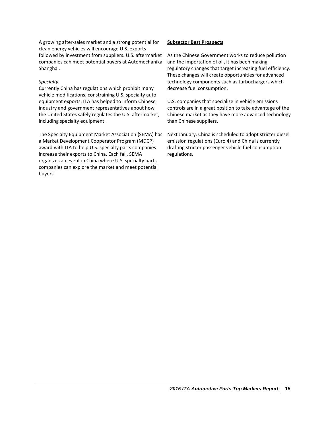A growing after-sales market and a strong potential for clean energy vehicles will encourage U.S. exports followed by investment from suppliers. U.S. aftermarket companies can meet potential buyers at Automechanika Shanghai.

#### *Specialty*

Currently China has regulations which prohibit many vehicle modifications, constraining U.S. specialty auto equipment exports. ITA has helped to inform Chinese industry and government representatives about how the United States safely regulates the U.S. aftermarket, including specialty equipment.

The Specialty Equipment Market Association (SEMA) has a Market Development Cooperator Program (MDCP) award with ITA to help U.S. specialty parts companies increase their exports to China. Each fall, SEMA organizes an event in China where U.S. specialty parts companies can explore the market and meet potential buyers.

#### **Subsector Best Prospects**

As the Chinese Government works to reduce pollution and the importation of oil, it has been making regulatory changes that target increasing fuel efficiency. These changes will create opportunities for advanced technology components such as turbochargers which decrease fuel consumption.

U.S. companies that specialize in vehicle emissions controls are in a great position to take advantage of the Chinese market as they have more advanced technology than Chinese suppliers.

Next January, China is scheduled to adopt stricter diesel emission regulations (Euro 4) and China is currently drafting stricter passenger vehicle fuel consumption regulations.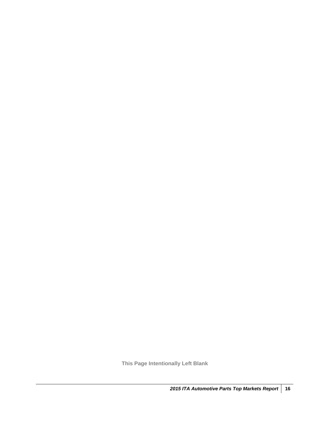**This Page Intentionally Left Blank**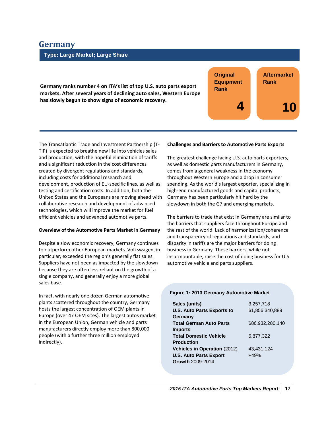### <span id="page-18-0"></span>**Germany**

#### **Type: Large Market; Large Share**

**Germany ranks number 4 on ITA's list of top U.S. auto parts export markets. After several years of declining auto sales, Western Europe has slowly begun to show signs of economic recovery.** 

**Original Equipment Rank**

**4**

**Aftermarket Rank 10**

The Transatlantic Trade and Investment Partnership (T-TIP) is expected to breathe new life into vehicles sales and production, with the hopeful elimination of tariffs and a significant reduction in the cost differences created by divergent regulations and standards, including costs for additional research and development, production of EU-specific lines, as well as testing and certification costs. In addition, both the United States and the Europeans are moving ahead with collaborative research and development of advanced technologies, which will improve the market for fuel efficient vehicles and advanced automotive parts.

#### **Overview of the Automotive Parts Market in Germany**

Despite a slow economic recovery, Germany continues to outperform other European markets. Volkswagen, in particular, exceeded the region's generally flat sales. Suppliers have not been as impacted by the slowdown because they are often less reliant on the growth of a single company, and generally enjoy a more global sales base.

In fact, with nearly one dozen German automotive plants scattered throughout the country, Germany hosts the largest concentration of OEM plants in Europe (over 47 OEM sites). The largest autos market in the European Union, German vehicle and parts manufacturers directly employ more than 800,000 people (with a further three million employed indirectly).

#### **Challenges and Barriers to Automotive Parts Exports**

The greatest challenge facing U.S. auto parts exporters, as well as domestic parts manufacturers in Germany, comes from a general weakness in the economy throughout Western Europe and a drop in consumer spending. As the world's largest exporter, specializing in high-end manufactured goods and capital products, Germany has been particularly hit hard by the slowdown in both the G7 and emerging markets.

The barriers to trade that exist in Germany are similar to the barriers that suppliers face throughout Europe and the rest of the world. Lack of harmonization/coherence and transparency of regulations and standards, and disparity in tariffs are the major barriers for doing business in Germany. These barriers, while not insurmountable, raise the cost of doing business for U.S. automotive vehicle and parts suppliers.

#### **Figure 1: 2013 Germany Automotive Market**

| Sales (units)                       | 3,257,718        |
|-------------------------------------|------------------|
| <b>U.S. Auto Parts Exports to</b>   | \$1,856,340,889  |
| Germany                             |                  |
| <b>Total German Auto Parts</b>      | \$86,932,280,140 |
| <b>Imports</b>                      |                  |
| <b>Total Domestic Vehicle</b>       | 5,877,322        |
| <b>Production</b>                   |                  |
| <b>Vehicles in Operation (2012)</b> | 43,431,124       |
| <b>U.S. Auto Parts Export</b>       | $+49%$           |
| Growth 2009-2014                    |                  |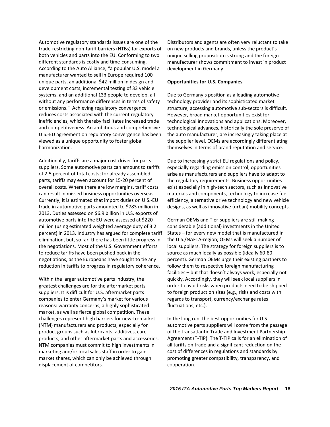Automotive regulatory standards issues are one of the trade-restricting non-tariff barriers (NTBs) for exports of both vehicles and parts into the EU. Conforming to two different standards is costly and time-consuming. According to the Auto Alliance, "a popular U.S. model a manufacturer wanted to sell in Europe required 100 unique parts, an additional \$42 million in design and development costs, incremental testing of 33 vehicle systems, and an additional 133 people to develop, all without any performance differences in terms of safety or emissions." Achieving regulatory convergence reduces costs associated with the current regulatory inefficiencies, which thereby facilitates increased trade and competitiveness. An ambitious and comprehensive U.S.-EU agreement on regulatory convergence has been viewed as a unique opportunity to foster global harmonization.

Additionally, tariffs are a major cost driver for parts suppliers. Some automotive parts can amount to tariffs of 2-5 percent of total costs; for already assembled parts, tariffs may even account for 15-20 percent of overall costs. Where there are low margins, tariff costs can result in missed business opportunities overseas. Currently, it is estimated that import duties on U.S.-EU trade in automotive parts amounted to \$783 million in 2013. Duties assessed on \$6.9 billion in U.S. exports of automotive parts into the EU were assessed at \$220 million (using estimated weighted average duty of 3.2 percent) in 2013. Industry has argued for complete tariff elimination, but, so far, there has been little progress in the negotiations. Most of the U.S. Government efforts to reduce tariffs have been pushed back in the negotiations, as the Europeans have sought to tie any reduction in tariffs to progress in regulatory coherence.

Within the larger automotive parts industry, the greatest challenges are for the aftermarket parts suppliers. It is difficult for U.S. aftermarket parts companies to enter Germany's market for various reasons: warranty concerns, a highly sophisticated market, as well as fierce global competition. These challenges represent high barriers for new-to-market (NTM) manufacturers and products, especially for product groups such as lubricants, additives, care products, and other aftermarket parts and accessories. NTM companies must commit to high investments in marketing and/or local sales staff in order to gain market shares, which can only be achieved through displacement of competitors.

Distributors and agents are often very reluctant to take on new products and brands, unless the product's unique selling proposition is strong and the foreign manufacturer shows commitment to invest in product development in Germany.

#### **Opportunities for U.S. Companies**

Due to Germany's position as a leading automotive technology provider and its sophisticated market structure, accessing automotive sub-sectors is difficult. However, broad market opportunities exist for technological innovations and applications. Moreover, technological advances, historically the sole preserve of the auto manufacturer, are increasingly taking place at the supplier level. OEMs are accordingly differentiating themselves in terms of brand reputation and service.

Due to increasingly strict EU regulations and policy, especially regarding emission control, opportunities arise as manufacturers and suppliers have to adapt to the regulatory requirements. Business opportunities exist especially in high-tech sectors, such as innovative materials and components, technology to increase fuel efficiency, alternative drive technology and new vehicle designs, as well as innovative (urban) mobility concepts.

German OEMs and Tier-suppliers are still making considerable (additional) investments in the United States – for every new model that is manufactured in the U.S./NAFTA-region; OEMs will seek a number of local suppliers. The strategy for foreign suppliers is to source as much locally as possible (ideally 60-80 percent). German OEMs urge their existing partners to follow them to respective foreign manufacturing facilities – but that doesn't always work, especially not quickly. Accordingly, they will seek local suppliers in order to avoid risks when products need to be shipped to foreign production sites (e.g., risks and costs with regards to transport, currency/exchange rates fluctuations, etc.).

In the long run, the best opportunities for U.S. automotive parts suppliers will come from the passage of the transatlantic Trade and Investment Partnership Agreement (T-TIP). The T-TIP calls for an elimination of all tariffs on trade and a significant reduction on the cost of differences in regulations and standards by promoting greater compatibility, transparency, and cooperation.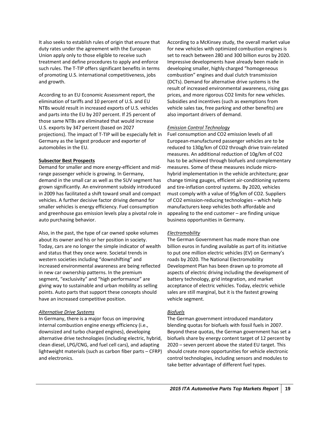It also seeks to establish rules of origin that ensure that duty rates under the agreement with the European Union apply only to those eligible to receive such treatment and define procedures to apply and enforce such rules. The T-TIP offers significant benefits in terms of promoting U.S. international competitiveness, jobs and growth.

According to an EU Economic Assessment report, the elimination of tariffs and 10 percent of U.S. and EU NTBs would result in increased exports of U.S. vehicles and parts into the EU by 207 percent. If 25 percent of those same NTBs are eliminated that would increase U.S. exports by 347 percent (based on 2027 projections). The impact of T-TIP will be especially felt in Germany as the largest producer and exporter of automobiles in the EU.

#### **Subsector Best Prospects**

Demand for smaller and more energy-efficient and midrange passenger vehicle is growing. In Germany, demand in the small car as well as the SUV segment has grown significantly. An environment subsidy introduced in 2009 has facilitated a shift toward small and compact vehicles. A further decisive factor driving demand for smaller vehicles is energy efficiency. Fuel consumption and greenhouse gas emission levels play a pivotal role in auto purchasing behavior.

Also, in the past, the type of car owned spoke volumes about its owner and his or her position in society. Today, cars are no longer the simple indicator of wealth and status that they once were. Societal trends in western societies including "downshifting" and increased environmental awareness are being reflected in new car ownership patterns. In the premium segment, "exclusivity" and "high performance" are giving way to sustainable and urban mobility as selling points. Auto parts that support these concepts should have an increased competitive position.

#### *Alternative Drive Systems*

In Germany, there is a major focus on improving internal combustion engine energy efficiency (i.e., downsized and turbo charged engines), developing alternative drive technologies (including electric, hybrid, clean diesel, LPG/CNG, and fuel cell cars), and adapting lightweight materials (such as carbon fiber parts – CFRP) and electronics.

According to a McKinsey study, the overall market value for new vehicles with optimized combustion engines is set to reach between 280 and 300 billion euros by 2020. Impressive developments have already been made in developing smaller, highly charged "homogeneous combustion" engines and dual clutch transmission (DCTs). Demand for alternative drive systems is the result of increased environmental awareness, rising gas prices, and more rigorous CO2 limits for new vehicles. Subsidies and incentives (such as exemptions from vehicle sales tax, free parking and other benefits) are also important drivers of demand.

#### *Emission Control Technology*

Fuel consumption and CO2 emission levels of all European-manufactured passenger vehicles are to be reduced to 130g/km of CO2 through drive train-related measures. An additional reduction of 10g/km of CO2 has to be achieved through biofuels and complementary measures. Some of these measures include microhybrid implementation in the vehicle architecture; gear change timing gauges, efficient air-conditioning systems and tire-inflation control systems. By 2020, vehicles must comply with a value of 95g/km of CO2. Suppliers of CO2 emission-reducing technologies – which help manufacturers keep vehicles both affordable and appealing to the end customer – are finding unique business opportunities in Germany.

#### *Electromobility*

The German Government has made more than one billion euros in funding available as part of its initiative to put one million electric vehicles (EV) on Germany's roads by 2020. The National Electromobility Development Plan has been drawn up to promote all aspects of electric driving including the development of battery technology, grid integration, and market acceptance of electric vehicles. Today, electric vehicle sales are still marginal, but it is the fastest growing vehicle segment.

#### *Biofuels*

The German government introduced mandatory blending quotas for biofuels with fossil fuels in 2007. Beyond these quotas, the German government has set a biofuels share by energy content target of 12 percent by 2020 – seven percent above the stated EU target. This should create more opportunities for vehicle electronic control technologies, including sensors and modules to take better advantage of different fuel types.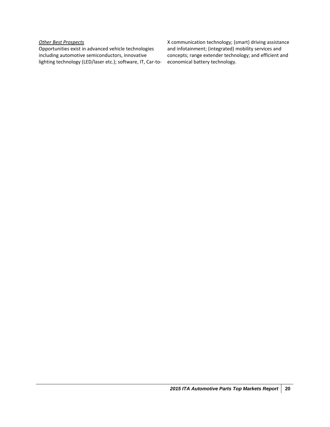#### *Other Best Prospects*

Opportunities exist in advanced vehicle technologies including automotive semiconductors, innovative lighting technology (LED/laser etc.); software, IT, Car-toX communication technology; (smart) driving assistance and infotainment; (integrated) mobility services and concepts; range extender technology; and efficient and economical battery technology.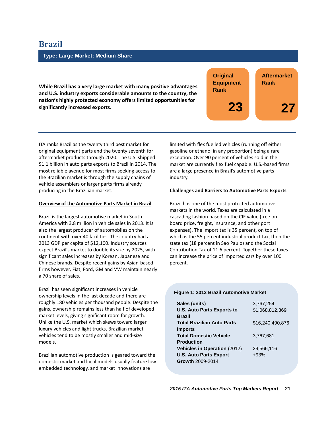### <span id="page-22-0"></span>**Brazil**

#### **Type: Large Market; Medium Share**

**While Brazil has a very large market with many positive advantages and U.S. industry exports considerable amounts to the country, the nation's highly protected economy offers limited opportunities for significantly increased exports.** 

**Original Equipment Rank 23 Aftermarket Rank**

**27**

ITA ranks Brazil as the twenty third best market for original equipment parts and the twenty seventh for aftermarket products through 2020. The U.S. shipped \$1.1 billion in auto parts exports to Brazil in 2014. The most reliable avenue for most firms seeking access to the Brazilian market is through the supply chains of vehicle assemblers or larger parts firms already producing in the Brazilian market.

#### **Overview of the Automotive Parts Market in Brazil**

Brazil is the largest automotive market in South America with 3.8 million in vehicle sales in 2013. It is also the largest producer of automobiles on the continent with over 40 facilities. The country had a 2013 GDP per capita of \$12,100. Industry sources expect Brazil's market to double its size by 2025, with significant sales increases by Korean, Japanese and Chinese brands. Despite recent gains by Asian-based firms however, Fiat, Ford, GM and VW maintain nearly a 70 share of sales.

Brazil has seen significant increases in vehicle ownership levels in the last decade and there are roughly 180 vehicles per thousand people. Despite the gains, ownership remains less than half of developed market levels, giving significant room for growth. Unlike the U.S. market which skews toward larger luxury vehicles and light trucks, Brazilian market vehicles tend to be mostly smaller and mid-size models.

Brazilian automotive production is geared toward the domestic market and local models usually feature low embedded technology, and market innovations are

limited with flex fuelled vehicles (running off either gasoline or ethanol in any proportion) being a rare exception. Over 90 percent of vehicles sold in the market are currently flex fuel capable. U.S.-based firms are a large presence in Brazil's automotive parts industry.

#### **Challenges and Barriers to Automotive Parts Exports**

Brazil has one of the most protected automotive markets in the world. Taxes are calculated in a cascading fashion based on the CIF value (free on board price, freight, insurance, and other port expenses). The import tax is 35 percent, on top of which is the 55 percent industrial product tax, then the state tax (18 percent in Sao Paulo) and the Social Contribution Tax of 11.6 percent. Together these taxes can increase the price of imported cars by over 100 percent.

#### **Figure 1: 2013 Brazil Automotive Market**

| Sales (units)                       | 3,767,254        |
|-------------------------------------|------------------|
| <b>U.S. Auto Parts Exports to</b>   | \$1,068,812,369  |
| <b>Brazil</b>                       |                  |
| <b>Total Brazilian Auto Parts</b>   | \$16,240,490,876 |
| <b>Imports</b>                      |                  |
| <b>Total Domestic Vehicle</b>       | 3,767,681        |
| <b>Production</b>                   |                  |
| <b>Vehicles in Operation (2012)</b> | 29,566,116       |
| <b>U.S. Auto Parts Export</b>       | $+93%$           |
| Growth 2009-2014                    |                  |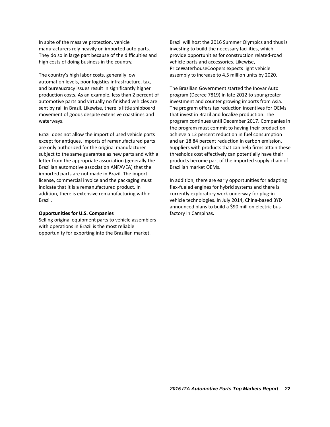In spite of the massive protection, vehicle manufacturers rely heavily on imported auto parts. They do so in large part because of the difficulties and high costs of doing business in the country.

The country's high labor costs, generally low automation levels, poor logistics infrastructure, tax, and bureaucracy issues result in significantly higher production costs. As an example, less than 2 percent of automotive parts and virtually no finished vehicles are sent by rail in Brazil. Likewise, there is little shipboard movement of goods despite extensive coastlines and waterways.

Brazil does not allow the import of used vehicle parts except for antiques. Imports of remanufactured parts are only authorized for the original manufacturer subject to the same guarantee as new parts and with a letter from the appropriate association (generally the Brazilian automotive association ANFAVEA) that the imported parts are not made in Brazil. The import license, commercial invoice and the packaging must indicate that it is a remanufactured product. In addition, there is extensive remanufacturing within Brazil.

#### **Opportunities for U.S. Companies**

Selling original equipment parts to vehicle assemblers with operations in Brazil is the most reliable opportunity for exporting into the Brazilian market.

Brazil will host the 2016 Summer Olympics and thus is investing to build the necessary facilities, which provide opportunities for construction related-road vehicle parts and accessories. Likewise, PriceWaterhouseCoopers expects light vehicle assembly to increase to 4.5 million units by 2020.

The Brazilian Government started the Inovar Auto program (Decree 7819) in late 2012 to spur greater investment and counter growing imports from Asia. The program offers tax reduction incentives for OEMs that invest in Brazil and localize production. The program continues until December 2017. Companies in the program must commit to having their production achieve a 12 percent reduction in fuel consumption and an 18.84 percent reduction in carbon emission. Suppliers with products that can help firms attain these thresholds cost effectively can potentially have their products become part of the imported supply chain of Brazilian market OEMs.

In addition, there are early opportunities for adapting flex-fueled engines for hybrid systems and there is currently exploratory work underway for plug-in vehicle technologies. In July 2014, China-based BYD announced plans to build a \$90 million electric bus factory in Campinas.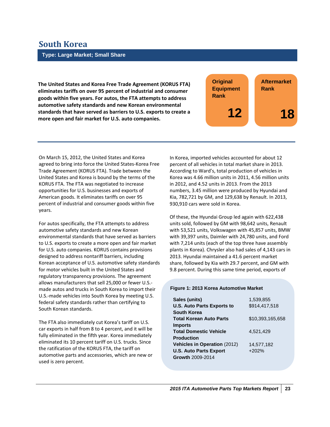# <span id="page-24-0"></span>**South Korea**

#### **Type: Large Market; Small Share**

**The United States and Korea Free Trade Agreement (KORUS FTA) eliminates tariffs on over 95 percent of industrial and consumer goods within five years. For autos, the FTA attempts to address automotive safety standards and new Korean environmental standards that have served as barriers to U.S. exports to create a more open and fair market for U.S. auto companies.** 



On March 15, 2012, the United States and Korea agreed to bring into force the United States-Korea Free Trade Agreement (KORUS FTA). Trade between the United States and Korea is bound by the terms of the KORUS FTA. The FTA was negotiated to increase opportunities for U.S. businesses and exports of American goods. It eliminates tariffs on over 95 percent of industrial and consumer goods within five years.

For autos specifically, the FTA attempts to address automotive safety standards and new Korean environmental standards that have served as barriers to U.S. exports to create a more open and fair market for U.S. auto companies. KORUS contains provisions designed to address nontariff barriers, including Korean acceptance of U.S. automotive safety standards for motor vehicles built in the United States and regulatory transparency provisions. The agreement allows manufacturers that sell 25,000 or fewer U.S. made autos and trucks in South Korea to import their U.S.-made vehicles into South Korea by meeting U.S. federal safety standards rather than certifying to South Korean standards.

The FTA also immediately cut Korea's tariff on U.S. car exports in half from 8 to 4 percent, and it will be fully eliminated in the fifth year. Korea immediately eliminated its 10 percent tariff on U.S. trucks. Since the ratification of the KORUS FTA, the tariff on automotive parts and accessories, which are new or used is zero percent.

In Korea, imported vehicles accounted for about 12 percent of all vehicles in total market share in 2013. According to Ward's, total production of vehicles in Korea was 4.66 million units in 2011, 4.56 million units in 2012, and 4.52 units in 2013. From the 2013 numbers, 3.45 million were produced by Hyundai and Kia, 782,721 by GM, and 129,638 by Renault. In 2013, 930,910 cars were sold in Korea.

Of these, the Hyundai Group led again with 622,438 units sold, followed by GM with 98,642 units, Renault with 53,521 units, Volkswagen with 45,857 units, BMW with 39,397 units, Daimler with 24,780 units, and Ford with 7,214 units (each of the top three have assembly plants in Korea). Chrysler also had sales of 4,143 cars in 2013. Hyundai maintained a 41.6 percent market share, followed by Kia with 29.7 percent, and GM with 9.8 percent. During this same time period, exports of

#### **Figure 1: 2013 Korea Automotive Market**

| Sales (units)                       | 1,539,855        |
|-------------------------------------|------------------|
| <b>U.S. Auto Parts Exports to</b>   | \$914,417,518    |
| South Korea                         |                  |
| <b>Total Korean Auto Parts</b>      | \$10,393,165,658 |
| <b>Imports</b>                      |                  |
| <b>Total Domestic Vehicle</b>       | 4,521,429        |
| <b>Production</b>                   |                  |
| <b>Vehicles in Operation (2012)</b> | 14,577,182       |
| <b>U.S. Auto Parts Export</b>       | $+202%$          |
| Growth 2009-2014                    |                  |
|                                     |                  |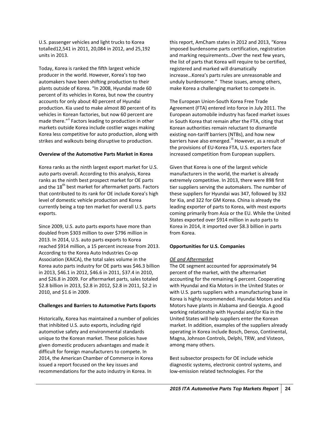U.S. passenger vehicles and light trucks to Korea totalled12,541 in 2011, 20,084 in 2012, and 25,192 units in 2013.

Today, Korea is ranked the fifth largest vehicle producer in the world. However, Korea's top two automakers have been shifting production to their plants outside of Korea. "In 2008, Hyundai made 60 percent of its vehicles in Korea, but now the country accounts for only about 40 percent of Hyundai production. Kia used to make almost 80 percent of its vehicles in Korean factories, but now 60 percent are made there."<sup>"</sup> Factors leading to production in other markets outside Korea include costlier wages making Korea less competitive for auto production, along with strikes and walkouts being disruptive to production.

#### **Overview of the Automotive Parts Market in Korea**

Korea ranks as the ninth largest export market for U.S. auto parts overall. According to this analysis, Korea ranks as the ninth best prospect market for OE parts and the 18<sup>th</sup> best market for aftermarket parts. Factors that contributed to its rank for OE include Korea's high level of domestic vehicle production and Korea currently being a top ten market for overall U.S. parts exports.

Since 2009, U.S. auto parts exports have more than doubled from \$303 million to over \$796 million in 2013. In 2014, U.S. auto parts exports to Korea reached \$914 million, a 15 percent increase from 2013. According to the Korea Auto Industries Co-op Association (KAICA), the total sales volume in the Korea auto parts industry for OE parts was \$46.3 billion in 2013, \$46.1 in 2012, \$46.6 in 2011, \$37.4 in 2010, and \$26.8 in 2009. For aftermarket parts, sales totaled \$2.8 billion in 2013, \$2.8 in 2012, \$2.8 in 2011, \$2.2 in 2010, and \$1.6 in 2009.

#### **Challenges and Barriers to Automotive Parts Exports**

Historically, Korea has maintained a number of policies that inhibited U.S. auto exports, including rigid automotive safety and environmental standards unique to the Korean market. These policies have given domestic producers advantages and made it difficult for foreign manufacturers to compete. In 2014, the American Chamber of Commerce in Korea issued a report focused on the key issues and recommendations for the auto industry in Korea. In

this report, AmCham states in 2012 and 2013, "Korea imposed burdensome parts certification, registration and marking requirements…Over the next few years, the list of parts that Korea will require to be certified, registered and marked will dramatically increase…Korea's parts rules are unreasonable and unduly burdensome." These issues, among others, make Korea a challenging market to compete in.

The European Union-South Korea Free Trade Agreement (FTA) entered into force in July 2011. The European automobile industry has faced market issues in South Korea that remain after the FTA, citing that Korean authorities remain reluctant to dismantle existing non-tariff barriers (NTBs), and how new barriers have also emerged.<sup>[iii](#page-46-1)</sup> However, as a result of the provisions of EU-Korea FTA, U.S. exporters face increased competition from European suppliers.

Given that Korea is one of the largest vehicle manufacturers in the world, the market is already extremely competitive. In 2013, there were 898 first tier suppliers serving the automakers. The number of these suppliers for Hyundai was 347, followed by 332 for Kia, and 322 for GM Korea. China is already the leading exporter of parts to Korea, with most exports coming primarily from Asia or the EU. While the United States exported over \$914 million in auto parts to Korea in 2014, it imported over \$8.3 billion in parts from Korea.

#### **Opportunities for U.S. Companies**

#### *OE and Aftermarket*

The OE segment accounted for approximately 94 percent of the market, with the aftermarket accounting for the remaining 6 percent. Cooperating with Hyundai and Kia Motors in the United States or with U.S. parts suppliers with a manufacturing base in Korea is highly recommended. Hyundai Motors and Kia Motors have plants in Alabama and Georgia. A good working relationship with Hyundai and/or Kia in the United States will help suppliers enter the Korean market. In addition, examples of the suppliers already operating in Korea include Bosch, Denso, Continental, Magna, Johnson Controls, Delphi, TRW, and Visteon, among many others.

Best subsector prospects for OE include vehicle diagnostic systems, electronic control systems, and low-emission related technologies. For the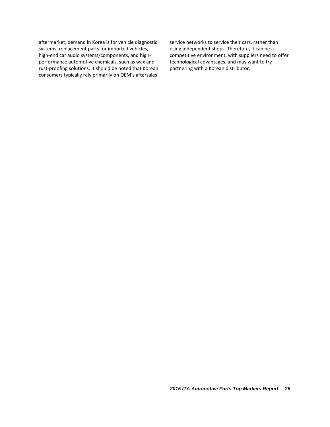aftermarket, demand in Korea is for vehicle diagnostic systems, replacement parts for imported vehicles, high-end car audio systems/components, and highperformance automotive chemicals, such as wax and rust-proofing solutions. It should be noted that Korean consumers typically rely primarily on OEM's aftersales

service networks to service their cars, rather than using independent shops. Therefore, it can be a competitive environment, with suppliers need to offer technological advantages, and may want to try partnering with a Korean distributor.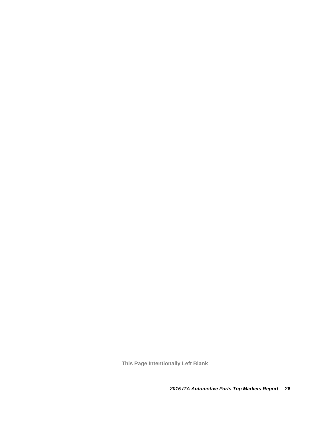**This Page Intentionally Left Blank**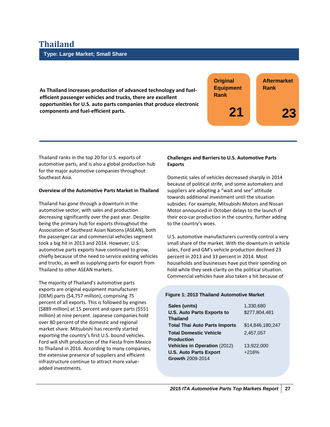# <span id="page-28-0"></span>**Thailand**

#### **Type: Large Market; Small Share**

**As Thailand increases production of advanced technology and fuelefficient passenger vehicles and trucks, there are excellent opportunities for U.S. auto parts companies that produce electronic components and fuel-efficient parts.** 



Thailand ranks in the top 20 for U.S. exports of automotive parts, and is also a global production hub for the major automotive companies throughout Southeast Asia.

#### **Overview of the Automotive Parts Market in Thailand**

Thailand has gone through a downturn in the automotive sector, with sales and production decreasing significantly over the past year. Despite being the primary hub for exports throughout the Association of Southeast Asian Nations (ASEAN), both the passenger car and commercial vehicles segment took a big hit in 2013 and 2014. However, U.S. automotive parts exports have continued to grow, chiefly because of the need to service existing vehicles and trucks, as well as supplying parts for export from Thailand to other ASEAN markets.

The majority of Thailand's automotive parts exports are original equipment manufacturer (OEM) parts (\$4,757 million), comprising 75 percent of all exports. This is followed by engines (\$889 million) at 15 percent and spare parts (\$551 million) at nine percent. Japanese companies hold over 80 percent of the domestic and regional market share. Mitsubishi has recently started exporting the country's first U.S. bound vehicles. Ford will shift production of the Fiesta from Mexico to Thailand in 2016. According to many companies, the extensive presence of suppliers and efficient infrastructure continue to attract more valueadded investments.

#### **Challenges and Barriers to U.S. Automotive Parts Exports**

Domestic sales of vehicles decreased sharply in 2014 because of political strife, and some automakers and suppliers are adopting a "wait and see" attitude towards additional investment until the situation subsides. For example, Mitsubishi Motors and Nissan Motor announced in October delays to the launch of their eco-car production in the country, further adding to the country's woes.

U.S. automotive manufacturers currently control a very small share of the market. With the downturn in vehicle sales, Ford and GM's vehicle production declined 23 percent in 2013 and 33 percent in 2014. Most households and businesses have put their spending on hold while they seek clarity on the political situation. Commercial vehicles have also taken a hit because of

#### **Figure 1: 2013 Thailand Automotive Market**

| \$277,804,481    |
|------------------|
|                  |
| \$14,846,180,247 |
| 2,457,057        |
|                  |
| 13,922,000       |
| $+216%$          |
|                  |
|                  |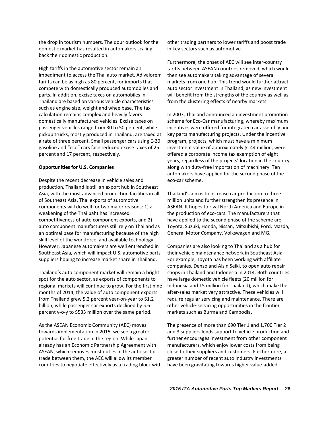the drop in tourism numbers. The dour outlook for the domestic market has resulted in automakers scaling back their domestic production.

High tariffs in the automotive sector remain an impediment to access the Thai auto market. Ad valorem tariffs can be as high as 80 percent, for imports that compete with domestically produced automobiles and parts. In addition, excise taxes on automobiles in Thailand are based on various vehicle characteristics such as engine size, weight and wheelbase. The tax calculation remains complex and heavily favors domestically manufactured vehicles. Excise taxes on passenger vehicles range from 30 to 50 percent, while pickup trucks, mostly produced in Thailand, are taxed at a rate of three percent. Small passenger cars using E-20 gasoline and "eco" cars face reduced excise taxes of 25 percent and 17 percent, respectively.

#### **Opportunities for U.S. Companies**

Despite the recent decrease in vehicle sales and production, Thailand is still an export hub in Southeast Asia, with the most advanced production facilities in all of Southeast Asia. Thai exports of automotive components will do well for two major reasons: 1) a weakening of the Thai baht has increased competitiveness of auto component exports, and 2) auto component manufacturers still rely on Thailand as an optimal base for manufacturing because of the high skill level of the workforce, and available technology. However, Japanese automakers are well entrenched in Southeast Asia, which will impact U.S. automotive parts suppliers hoping to increase market share in Thailand.

Thailand's auto component market will remain a bright spot for the auto sector, as exports of components to regional markets will continue to grow. For the first nine months of 2014, the value of auto component exports from Thailand grew 5.2 percent year-on-year to \$1.2 billion, while passenger car exports declined by 5.6 percent y-o-y to \$533 million over the same period.

As the ASEAN Economic Community (AEC) moves towards implementation in 2015, we see a greater potential for free trade in the region. While Japan already has an Economic Partnership Agreement with ASEAN, which removes most duties in the auto sector trade between them, the AEC will allow its member countries to negotiate effectively as a trading block with other trading partners to lower tariffs and boost trade in key sectors such as automotive.

Furthermore, the onset of AEC will see inter-country tariffs between ASEAN countries removed, which would then see automakers taking advantage of several markets from one hub. This trend would further attract auto sector investment in Thailand, as new investment will benefit from the strengths of the country as well as from the clustering effects of nearby markets.

In 2007, Thailand announced an investment promotion scheme for Eco-Car manufacturing, whereby maximum incentives were offered for integrated car assembly and key parts manufacturing projects. Under the incentive program, projects, which must have a minimum investment value of approximately \$144 million, were offered a corporate income tax exemption of eight years, regardless of the projects' location in the country, along with duty-free importation of machinery. Ten automakers have applied for the second phase of the eco-car scheme.

Thailand's aim is to increase car production to three million units and further strengthen its presence in ASEAN. It hopes to rival North America and Europe in the production of eco-cars. The manufacturers that have applied to the second phase of the scheme are Toyota, Suzuki, Honda, Nissan, Mitsubishi, Ford, Mazda, General Motor Company, Volkswagen and MG.

Companies are also looking to Thailand as a hub for their vehicle maintenance network in Southeast Asia. For example, Toyota has been working with affiliate companies, Denso and Aisin Seiki, to open auto repair shops in Thailand and Indonesia in 2014. Both countries have large domestic vehicle fleets (20 million for Indonesia and 15 million for Thailand), which make the after-sales market very attractive. These vehicles will require regular servicing and maintenance. There are other vehicle-servicing opportunities in the frontier markets such as Burma and Cambodia.

The presence of more than 690 Tier 1 and 1,700 Tier 2 and 3 suppliers lends support to vehicle production and further encourages investment from other component manufacturers, which enjoy lower costs from being close to their suppliers and customers. Furthermore, a greater number of recent auto industry investments have been gravitating towards higher value-added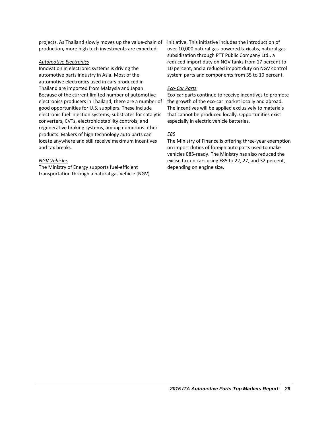projects. As Thailand slowly moves up the value-chain of production, more high tech investments are expected.

#### *Automotive Electronics*

Innovation in electronic systems is driving the automotive parts industry in Asia. Most of the automotive electronics used in cars produced in Thailand are imported from Malaysia and Japan. Because of the current limited number of automotive electronics producers in Thailand, there are a number of good opportunities for U.S. suppliers. These include electronic fuel injection systems, substrates for catalytic converters, CVTs, electronic stability controls, and regenerative braking systems, among numerous other products. Makers of high technology auto parts can locate anywhere and still receive maximum incentives and tax breaks.

#### *NGV Vehicles*

The Ministry of Energy supports fuel-efficient transportation through a natural gas vehicle (NGV) initiative. This initiative includes the introduction of over 10,000 natural gas-powered taxicabs, natural gas subsidization through PTT Public Company Ltd., a reduced import duty on NGV tanks from 17 percent to 10 percent, and a reduced import duty on NGV control system parts and components from 35 to 10 percent.

#### *Eco-Car Parts*

Eco-car parts continue to receive incentives to promote the growth of the eco-car market locally and abroad. The incentives will be applied exclusively to materials that cannot be produced locally. Opportunities exist especially in electric vehicle batteries.

#### *E85*

The Ministry of Finance is offering three-year exemption on import duties of foreign auto parts used to make vehicles E85-ready. The Ministry has also reduced the excise tax on cars using E85 to 22, 27, and 32 percent, depending on engine size.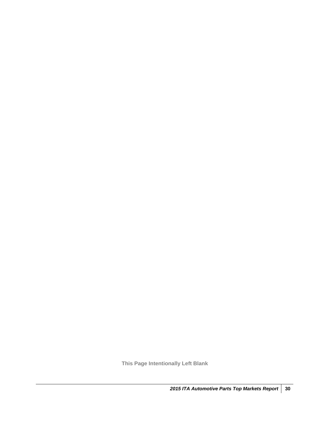**This Page Intentionally Left Blank**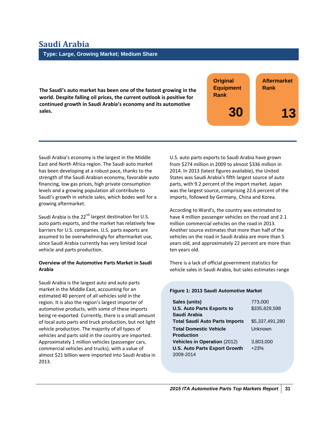# <span id="page-32-0"></span>**Saudi Arabia**

**Type: Large, Growing Market; Medium Share**

**The Saudi's auto market has been one of the fastest growing in the world. Despite falling oil prices, the current outlook is positive for continued growth in Saudi Arabia's economy and its automotive sales.** 



Saudi Arabia's economy is the largest in the Middle East and North Africa region. The Saudi auto market has been developing at a robust pace, thanks to the strength of the Saudi Arabian economy, favorable auto financing, low gas prices, high private consumption levels and a growing population all contribute to Saudi's growth in vehicle sales, which bodes well for a growing aftermarket.

Saudi Arabia is the 22<sup>nd</sup> largest destination for U.S. auto parts exports, and the market has relatively few barriers for U.S. companies. U.S. parts exports are assumed to be overwhelmingly for aftermarket use, since Saudi Arabia currently has very limited local vehicle and parts production.

#### **Overview of the Automotive Parts Market in Saudi Arabia**

Saudi Arabia is the largest auto and auto parts market in the Middle East, accounting for an estimated 40 percent of all vehicles sold in the region. It is also the region's largest importer of automotive products, with some of these imports being re-exported. Currently, there is a small amount of local auto parts and truck production, but not light vehicle production. The majority of all types of vehicles and parts sold in the country are imported. Approximately 1 million vehicles (passenger cars, commercial vehicles and trucks), with a value of almost \$21 billion were imported into Saudi Arabia in 2013.

U.S. auto parts exports to Saudi Arabia have grown from \$274 million in 2009 to almost \$336 million in 2014. In 2013 (latest figures available), the United States was Saudi Arabia's fifth largest source of auto parts, with 9.2 percent of the import market. Japan was the largest source, comprising 22.6 percent of the imports, followed by Germany, China and Korea.

According to Ward's, the country was estimated to have 4 million passenger vehicles on the road and 2.1 million commercial vehicles on the road in 2013. Another source estimates that more than half of the vehicles on the road in Saudi Arabia are more than 5 years old, and approximately 22 percent are more than ten years old.

There is a lack of official government statistics for vehicle sales in Saudi Arabia, but sales estimates range

#### **Figure 1: 2013 Saudi Automotive Market**

| Sales (units)                         | 773,000         |
|---------------------------------------|-----------------|
| <b>U.S. Auto Parts Exports to</b>     | \$335,829,598   |
| Saudi Arabia                          |                 |
| <b>Total Saudi Auto Parts Imports</b> | \$5,337,491,280 |
| <b>Total Domestic Vehicle</b>         | Unknown         |
| <b>Production</b>                     |                 |
| <b>Vehicles in Operation (2012)</b>   | 3,803,000       |
| <b>U.S. Auto Parts Export Growth</b>  | $+23%$          |
| 2009-2014                             |                 |
|                                       |                 |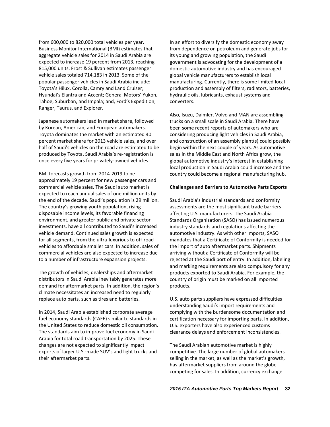from 600,000 to 820,000 total vehicles per year. Business Monitor International (BMI) estimates that aggregate vehicle sales for 2014 in Saudi Arabia are expected to increase 19 percent from 2013, reaching 815,000 units. Frost & Sullivan estimates passenger vehicle sales totaled 714,183 in 2013. Some of the popular passenger vehicles in Saudi Arabia include: Toyota's Hilux, Corolla, Camry and Land Cruiser; Hyundai's Elantra and Accent; General Motors' Yukon, Tahoe, Suburban, and Impala; and, Ford's Expedition, Ranger, Taurus, and Explorer.

Japanese automakers lead in market share, followed by Korean, American, and European automakers. Toyota dominates the market with an estimated 40 percent market share for 2013 vehicle sales, and over half of Saudi's vehicles on the road are estimated to be produced by Toyota. Saudi Arabia's re-registration is once every five years for privately-owned vehicles.

BMI forecasts growth from 2014-2019 to be approximately 19 percent for new passenger cars and commercial vehicle sales. The Saudi auto market is expected to reach annual sales of one million units by the end of the decade. Saudi's population is 29 million. The country's growing youth population, rising disposable income levels, its favorable financing environment, and greater public and private sector investments, have all contributed to Saudi's increased vehicle demand. Continued sales growth is expected for all segments, from the ultra-luxurious to off-road vehicles to affordable smaller cars. In addition, sales of commercial vehicles are also expected to increase due to a number of infrastructure expansion projects.

The growth of vehicles, dealerships and aftermarket distributors in Saudi Arabia inevitably generates more demand for aftermarket parts. In addition, the region's climate necessitates an increased need to regularly replace auto parts, such as tires and batteries.

In 2014, Saudi Arabia established corporate average fuel economy standards (CAFE) similar to standards in the United States to reduce domestic oil consumption. The standards aim to improve fuel economy in Saudi Arabia for total road transportation by 2025. These changes are not expected to significantly impact exports of larger U.S.-made SUV's and light trucks and their aftermarket parts.

In an effort to diversify the domestic economy away from dependence on petroleum and generate jobs for its young and growing population, the Saudi government is advocating for the development of a domestic automotive industry and has encouraged global vehicle manufacturers to establish local manufacturing. Currently, there is some limited local production and assembly of filters, radiators, batteries, hydraulic oils, lubricants, exhaust systems and converters.

Also, Isuzu, Daimler, Volvo and MAN are assembling trucks on a small scale in Saudi Arabia. There have been some recent reports of automakers who are considering producing light vehicles in Saudi Arabia, and construction of an assembly plant(s) could possibly begin within the next couple of years. As automotive sales in the Middle East and North Africa grow, the global automotive industry's interest in establishing local production in Saudi Arabia could increase and the country could become a regional manufacturing hub.

#### **Challenges and Barriers to Automotive Parts Exports**

Saudi Arabia's industrial standards and conformity assessments are the most significant trade barriers affecting U.S. manufacturers. The Saudi Arabia Standards Organization (SASO) has issued numerous industry standards and regulations affecting the automotive industry. As with other imports, SASO mandates that a Certificate of Conformity is needed for the import of auto aftermarket parts. Shipments arriving without a Certificate of Conformity will be rejected at the Saudi port of entry. In addition, labeling and marking requirements are also compulsory for any products exported to Saudi Arabia. For example, the country of origin must be marked on all imported products.

U.S. auto parts suppliers have expressed difficulties understanding Saudi's import requirements and complying with the burdensome documentation and certification necessary for importing parts. In addition, U.S. exporters have also experienced customs clearance delays and enforcement inconsistencies.

The Saudi Arabian automotive market is highly competitive. The large number of global automakers selling in the market, as well as the market's growth, has aftermarket suppliers from around the globe competing for sales. In addition, currency exchange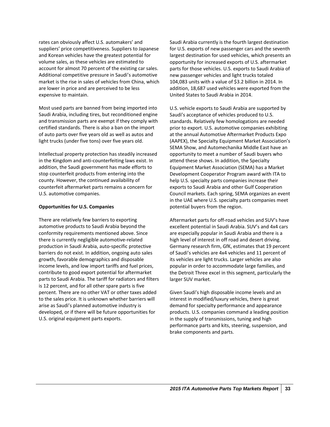rates can obviously affect U.S. automakers' and suppliers' price competitiveness. Suppliers to Japanese and Korean vehicles have the greatest potential for volume sales, as these vehicles are estimated to account for almost 70 percent of the existing car sales. Additional competitive pressure in Saudi's automotive market is the rise in sales of vehicles from China, which are lower in price and are perceived to be less expensive to maintain.

Most used parts are banned from being imported into Saudi Arabia, including tires, but reconditioned engine and transmission parts are exempt if they comply with certified standards. There is also a ban on the import of auto parts over five years old as well as autos and light trucks (under five tons) over five years old.

Intellectual property protection has steadily increased in the Kingdom and anti-counterfeiting laws exist. In addition, the Saudi government has made efforts to stop counterfeit products from entering into the county. However, the continued availability of counterfeit aftermarket parts remains a concern for U.S. automotive companies.

#### **Opportunities for U.S. Companies**

There are relatively few barriers to exporting automotive products to Saudi Arabia beyond the conformity requirements mentioned above. Since there is currently negligible automotive-related production in Saudi Arabia, auto-specific protective barriers do not exist. In addition, ongoing auto sales growth, favorable demographics and disposable income levels, and low import tariffs and fuel prices, contribute to good export potential for aftermarket parts to Saudi Arabia. The tariff for radiators and filters is 12 percent, and for all other spare parts is five percent. There are no other VAT or other taxes added to the sales price. It is unknown whether barriers will arise as Saudi's planned automotive industry is developed, or if there will be future opportunities for U.S. original equipment parts exports.

Saudi Arabia currently is the fourth largest destination for U.S. exports of new passenger cars and the seventh largest destination for used vehicles, which presents an opportunity for increased exports of U.S. aftermarket parts for those vehicles. U.S. exports to Saudi Arabia of new passenger vehicles and light trucks totaled 104,083 units with a value of \$3.2 billion in 2014. In addition, 18,687 used vehicles were exported from the United States to Saudi Arabia in 2014.

U.S. vehicle exports to Saudi Arabia are supported by Saudi's acceptance of vehicles produced to U.S. standards. Relatively few homologations are needed prior to export. U.S. automotive companies exhibiting at the annual Automotive Aftermarket Products Expo (AAPEX), the Specialty Equipment Market Association's SEMA Show, and Automechanika Middle East have an opportunity to meet a number of Saudi buyers who attend these shows. In addition, the Specialty Equipment Market Association (SEMA) has a Market Development Cooperator Program award with ITA to help U.S. specialty parts companies increase their exports to Saudi Arabia and other Gulf Cooperation Council markets. Each spring, SEMA organizes an event in the UAE where U.S. specialty parts companies meet potential buyers from the region.

Aftermarket parts for off-road vehicles and SUV's have excellent potential in Saudi Arabia. SUV's and 4x4 cars are especially popular in Saudi Arabia and there is a high level of interest in off road and desert driving. Germany research firm, GfK, estimates that 19 percent of Saudi's vehicles are 4x4 vehicles and 11 percent of its vehicles are light trucks. Larger vehicles are also popular in order to accommodate large families, and the Detroit Three excel in this segment, particularly the larger SUV market.

Given Saudi's high disposable income levels and an interest in modified/luxury vehicles, there is great demand for specialty performance and appearance products. U.S. companies command a leading position in the supply of transmissions, tuning and high performance parts and kits, steering, suspension, and brake components and parts.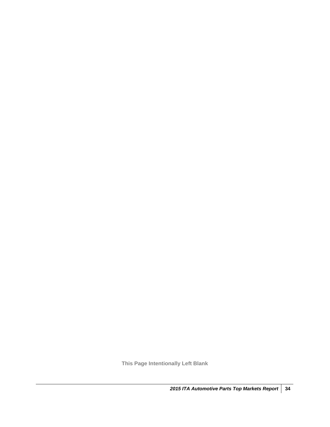<span id="page-35-0"></span>**This Page Intentionally Left Blank**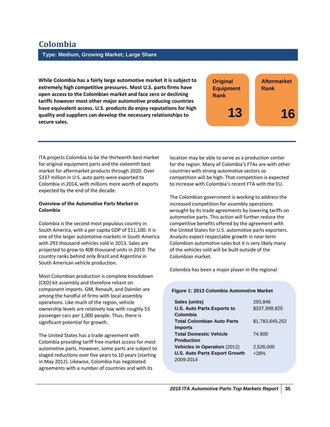# **Colombia**

**Type: Medium, Growing Market; Large Share**

**While Colombia has a fairly large automotive market it is subject to extremely high competitive pressures. Most U.S. parts firms have open access to the Colombian market and face zero or declining tariffs however most other major automotive producing countries have equivalent access. U.S. products do enjoy reputations for high quality and suppliers can develop the necessary relationships to secure sales.** 



ITA projects Colombia to be the thirteenth best market for original equipment parts and the sixteenth best market for aftermarket products through 2020. Over \$337 million in U.S. auto parts were exported to Colombia in 2014, with millions more worth of exports expected by the end of the decade.

#### **Overview of the Automotive Parts Market in Colombia**

Colombia is the second most populous country in South America, with a per capita GDP of \$11,100. It is one of the larger automotive markets in South America with 293 thousand vehicles sold in 2013. Sales are projected to grow to 408 thousand units in 2019. The country ranks behind only Brazil and Argentina in South American vehicle production.

Most Colombian production is complete knockdown (CKD) kit assembly and therefore reliant on component imports. GM, Renault, and Daimler are among the handful of firms with local assembly operations. Like much of the region, vehicle ownership levels are relatively low with roughly 53 passenger cars per 1,000 people. Thus, there is significant potential for growth.

The United States has a trade agreement with Colombia providing tariff free market access for most automotive parts. However, some parts are subject to staged reductions over five years to 10 years (starting in May 2012). Likewise, Colombia has negotiated agreements with a number of countries and with its

location may be able to serve as a production center for the region. Many of Colombia's FTAs are with other countries with strong automotive sectors so competition will be high. That competition is expected to increase with Colombia's recent FTA with the EU.

The Colombian government is working to address the increased competition for assembly operations wrought by its trade agreements by lowering tariffs on automotive parts. This action will further reduce the competitive benefits offered by the agreement with the United States for U.S. automotive parts exporters. Analysts expect respectable growth in near term Colombian automotive sales but it is very likely many of the vehicles sold will be built outside of the Colombian market.

Colombia has been a major player in the regional

#### **Figure 1: 2013 Colombia Automotive Market**

| Sales (units)                        | 293,846         |
|--------------------------------------|-----------------|
| <b>U.S. Auto Parts Exports to</b>    | \$337,998,820   |
| Colombia                             |                 |
| <b>Total Colombian Auto Parts</b>    | \$1,783,645,252 |
| <b>Imports</b>                       |                 |
| <b>Total Domestic Vehicle</b>        | 74,900          |
| <b>Production</b>                    |                 |
| <b>Vehicles in Operation (2012)</b>  | 2,526,000       |
| <b>U.S. Auto Parts Export Growth</b> | $+28%$          |
| 2009-2014                            |                 |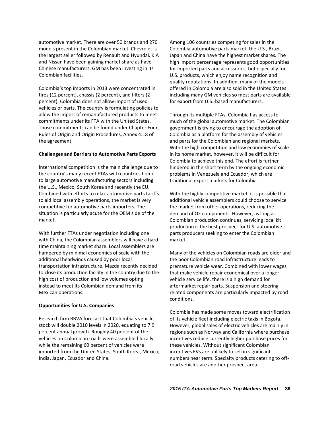automotive market. There are over 50 brands and 270 models present in the Colombian market. Chevrolet is the largest seller followed by Renault and Hyundai. KIA and Nissan have been gaining market share as have Chinese manufacturers. GM has been investing in its Colombian facilities.

Colombia's top imports in 2013 were concentrated in tires (12 percent), chassis (2 percent), and filters (2 percent). Colombia does not allow import of used vehicles or parts. The country is formulating policies to allow the import of remanufactured products to meet commitments under its FTA with the United States. Those commitments can be found under Chapter Four, Rules of Origin and Origin Procedures, Annex 4.18 of the agreement.

#### **Challenges and Barriers to Automotive Parts Exports**

International competition is the main challenge due to the country's many recent FTAs with countries home to large automotive manufacturing sectors including the U.S., Mexico, South Korea and recently the EU. Combined with efforts to relax automotive parts tariffs to aid local assembly operations, the market is very competitive for automotive parts importers. The situation is particularly acute for the OEM side of the market.

With further FTAs under negotiation including one with China, the Colombian assemblers will have a hard time maintaining market share. Local assemblers are hampered by minimal economies of scale with the additional headwinds caused by poor local transportation infrastructure. Mazda recently decided to close its production facility in the country due to the high cost of production and low volumes opting instead to meet its Colombian demand from its Mexican operations.

#### **Opportunities for U.S. Companies**

Research firm BBVA forecast that Colombia's vehicle stock will double 2010 levels in 2020, equating to 7.9 percent annual growth. Roughly 40 percent of the vehicles on Colombian roads were assembled locally while the remaining 60 percent of vehicles were imported from the United States, South Korea, Mexico, India, Japan, Ecuador and China.

Among 106 countries competing for sales in the Colombia automotive parts market, the U.S., Brazil, Japan and China have the highest market shares. The high import percentage represents good opportunities for imported parts and accessories, but especially for U.S. products, which enjoy name recognition and quality reputations. In addition, many of the models offered in Colombia are also sold in the United States including many GM vehicles so most parts are available for export from U.S.-based manufacturers.

Through its multiple FTAs, Colombia has access to much of the global automotive market. The Colombian government is trying to encourage the adoption of Colombia as a platform for the assembly of vehicles and parts for the Colombian and regional markets. With the high competition and low economies of scale in its home market, however, it will be difficult for Colombia to achieve this end. The effort is further hindered in the short term by the ongoing economic problems in Venezuela and Ecuador, which are traditional export markets for Colombia.

With the highly competitive market, it is possible that additional vehicle assemblers could choose to service the market from other operations, reducing the demand of OE components. However, as long as Colombian production continues, servicing local kit production is the best prospect for U.S. automotive parts producers seeking to enter the Colombian market.

Many of the vehicles on Colombian roads are older and the poor Colombian road infrastructure leads to premature vehicle wear. Combined with lower wages that make vehicle repair economical over a longer vehicle service life, there is a high demand for aftermarket repair parts. Suspension and steering related components are particularly impacted by road conditions.

Colombia has made some moves toward electrification of its vehicle fleet including electric taxis in Bogota. However, global sales of electric vehicles are mainly in regions such as Norway and California where purchase incentives reduce currently higher purchase prices for these vehicles. Without significant Colombian incentives EVs are unlikely to sell in significant numbers near term. Specialty products catering to offroad vehicles are another prospect area.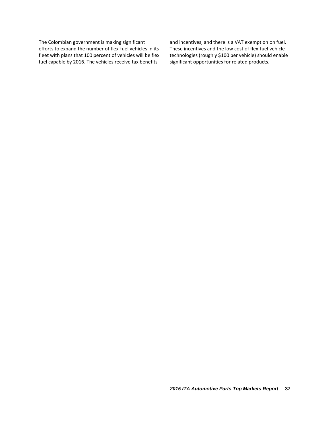The Colombian government is making significant efforts to expand the number of flex-fuel vehicles in its fleet with plans that 100 percent of vehicles will be flex fuel capable by 2016. The vehicles receive tax benefits

and incentives, and there is a VAT exemption on fuel. These incentives and the low cost of flex-fuel vehicle technologies (roughly \$100 per vehicle) should enable significant opportunities for related products.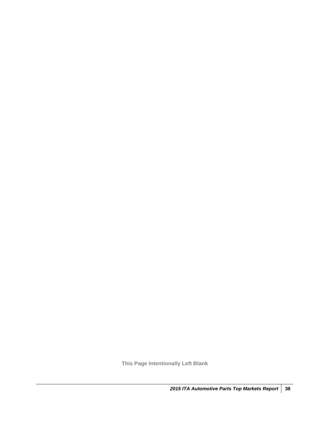**This Page Intentionally Left Blank**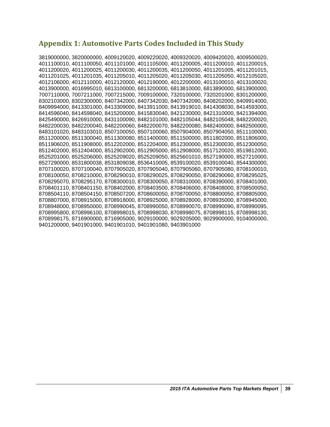### <span id="page-40-0"></span>**Appendix 1: Automotive Parts Codes Included in This Study**

3819000000, 3820000000, 4009120020, 4009220020, 4009320020, 4009420020, 4009500020, 4011100010, 4011100050, 4011101000, 4011105000, 4011200005, 4011200010, 4011200015, 4011200020, 4011200025, 4011200030, 4011200035, 4011200050, 4011201005, 4011201015, 4011201025, 4011201035, 4011205010, 4011205020, 4011205030, 4011205050, 4012105020, 4012106000, 4012110000, 4012120000, 4012190000, 4012200000, 4013100010, 4013100020, 4013900000, 4016995010, 6813100000, 6813200000, 6813810000, 6813890000, 6813900000, 7007110000, 7007211000, 7007215000, 7009100000, 7320100000, 7320201000, 8301200000, 8302103000, 8302300000, 8407342000, 8407342030, 8407342090, 8408202000, 8409914000, 8409994000, 8413301000, 8413309000, 8413911000, 8413919010, 8414308030, 8414593000, 8414596040, 8414598040, 8415200000, 8415830040, 8421230000, 8421310000, 8421394000, 8425490000, 8426910000, 8431100090, 8482101000, 8482105044, 8482105048, 8482200020, 8482200030, 8482200040, 8482200060, 8482200070, 8482200080, 8482400000, 8482500000, 8483101020, 8483103010, 8507100050, 8507100060, 8507904000, 8507904050, 8511100000, 8511200000, 8511300040, 8511300080, 8511400000, 8511500000, 8511802000, 8511806000, 8511906020, 8511908000, 8512202000, 8512204000, 8512300000, 8512300030, 8512300050, 8512402000, 8512404000, 8512902000, 8512905000, 8512908000, 8517120020, 8519812000, 8525201000, 8525206000, 8525209020, 8525209050, 8525601010, 8527190000, 8527210000, 8527290000, 8531800038, 8531809038, 8536410005, 8539100020, 8539100040, 8544300000, 8707100020, 8707100040, 8707905020, 8707905040, 8707905060, 8707905080, 8708100010, 8708100050, 8708210000, 8708290010, 8708290025, 8708290050, 8708290060, 8708295025, 8708295070, 8708295170, 8708300010, 8708300050, 8708310000, 8708390000, 8708401000, 8708401110, 8708401150, 8708402000, 8708403500, 8708406000, 8708408000, 8708500050, 8708504110, 8708504150, 8708507200, 8708600050, 8708700050, 8708800050, 8708805000, 8708807000, 8708915000, 8708918000, 8708925000, 8708928000, 8708935000, 8708945000, 8708948000, 8708950000, 8708990045, 8708990050, 8708990070, 8708990090, 8708990095, 8708995800, 8708996100, 8708998015, 8708998030, 8708998075, 8708998115, 8708998130, 8708998175, 8716900000, 8716905000, 9029100000, 9029205000, 9029900000, 9104000000, 9401200000, 9401901000, 9401901010, 9401901080, 9403901000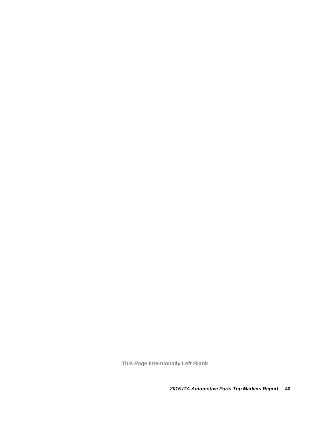**This Page Intentionally Left Blank**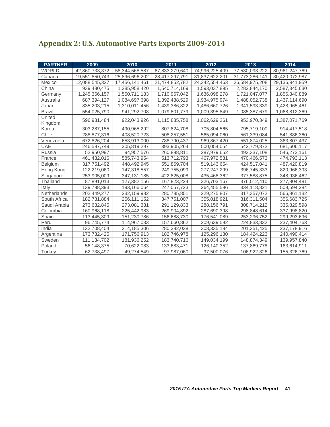<span id="page-42-0"></span>

| <b>Appendix 2: U.S. Automotive Parts Exports 2009-2014</b> |  |
|------------------------------------------------------------|--|
|------------------------------------------------------------|--|

| <b>PARTNER</b>    | 2009           | 2010           | 2011           | 2012           | 2013           | 2014              |
|-------------------|----------------|----------------|----------------|----------------|----------------|-------------------|
| <b>WORLD</b>      | 42,860,733,372 | 58,344,568,587 | 67,833,279,640 | 74,996,225,409 | 77,530,093,222 | 80, 961, 247, 769 |
| Canada            | 19,551,850,743 | 25,896,696,202 | 28,417,297,791 | 31,837,622,201 | 31,773,286,141 | 30,420,072,987    |
| Mexico            | 12,088,545,327 | 17,456,141,461 | 21,474,852,782 | 24,342,554,463 | 26,584,975,208 | 29,136,941,959    |
| China             | 939,480,475    | 1,285,958,420  | 1,540,714,169  | 1,593,037,895  | 2,282,844,170  | 2,587,345,630     |
| Germany           | 1,245,366,157  | 1,550,711,183  | 1,710,967,042  | 1,636,098,278  | 1,721,047,077  | 1,856,340,889     |
| Australia         | 687,394,127    | 1,084,697,698  | 1,392,438,529  | 1,934,975,974  | 1,488,052,738  | 1,437,114,690     |
| Japan             | 835,203,215    | 1,310,011,456  | 1,439,386,822  | 1,486,660,726  | 1,341,593,339  | 1,428,965,461     |
| <b>Brazil</b>     | 554,025,790    | 941,292,708    | 1,079,801,779  | 1,009,395,849  | 1,085,387,679  | 1,068,812,369     |
| United<br>Kingdom | 596,931,484    | 922,043,926    | 1,115,835,758  | 1,062,629,261  | 953,970,349    | 1,387,071,769     |
| Korea             | 303,287,155    | 490,965,292    | 807,824,708    | 705,804,565    | 795,719,100    | 914,417,518       |
| Chile             | 288,877,316    | 408,520,723    | 508,257,551    | 565,094,060    | 561,339,084    | 541,886,360       |
| Venezuela         | 672,826,204    | 653,913,000    | 788,790,437    | 969,867,420    | 551,874,025    | 363,807,437       |
| <b>UAE</b>        | 246,587,749    | 305,819,297    | 393,905,264    | 500,054,054    | 542,779,872    | 681,606,117       |
| Russia            | 52,950,997     | 94,957,576     | 260,898,811    | 287,979,652    | 493,337,108    | 546,273,161       |
| France            | 461,482,016    | 585,743,954    | 513,712,793    | 467,972,531    | 470,466,573    | 474,793,113       |
| <b>Belgium</b>    | 317,751,492    | 448,492,945    | 551,869,704    | 519,143,654    | 424,517,041    | 487,420,819       |
| Hong Kong         | 122,219,060    | 147,318,557    | 249,755,099    | 277,247,299    | 396,745,333    | 820,966,393       |
| Singapore         | 253,905,009    | 347,131,185    | 422,825,008    | 435,468,362    | 377,588,875    | 348,936,462       |
| Thailand          | 87,891,013     | 127,382,156    | 167,823,224    | 326,703,167    | 376,012,410    | 277,804,481       |
| Italy             | 139,788,393    | 193,166,064    | 247,057,723    | 264,455,596    | 334,118,821    | 509,594,284       |
| Netherlands       | 202,449,277    | 232,159,982    | 280,785,851    | 229,275,807    | 317, 357, 072  | 566,861,132       |
| South Africa      | 182,781,884    | 256,111,152    | 347,751,007    | 355,018,921    | 316,311,504    | 356,683,725       |
| Saudi Arabia      | 273,682,845    | 273,081,331    | 291,129,833    | 288,156,791    | 308,714,212    | 335,829,598       |
| Colombia          | 160,968,118    | 225,442,983    | 269,904,892    | 287,690,398    | 298,848,614    | 337,998,820       |
| Spain             | 113,445,309    | 151,230,786    | 156,688,730    | 176,541,089    | 253,296,752    | 299,293,696       |
| Peru              | 96,745,774     | 114,967,033    | 157,660,862    | 209,639,592    | 224,833,832    | 237,404,763       |
| India             | 132,708,404    | 214,185,306    | 280,382,038    | 308,335,184    | 201, 351, 425  | 237, 178, 916     |
| Argentina         | 173,732,425    | 171,756,913    | 182,746,978    | 125,296,180    | 184,424,223    | 240,490,414       |
| Sweden            | 111,134,702    | 181,936,252    | 183,740,716    | 149,034,199    | 148,874,349    | 139,957,840       |
| Poland            | 56,148,375     | 70,622,083     | 133,683,471    | 126,140,352    | 137,869,778    | 163,614,911       |
| Turkey            | 62,738,497     | 49,274,549     | 97,987,060     | 97,500,076     | 106,922,326    | 155,326,769       |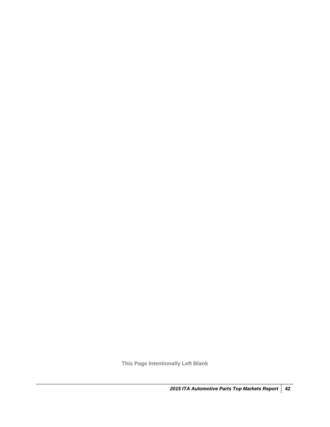**This Page Intentionally Left Blank**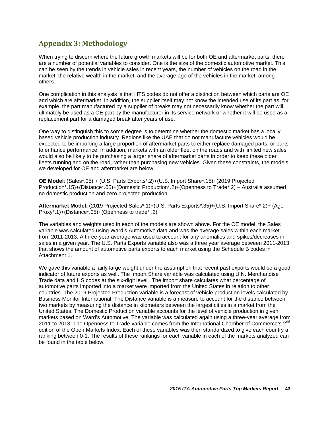# <span id="page-44-0"></span>**Appendix 3: Methodology**

When trying to discern where the future growth markets will be for both OE and aftermarket parts, there are a number of potential variables to consider. One is the size of the domestic automotive market. This can be seen by the trends in vehicle sales in recent years, the number of vehicles on the road in the market, the relative wealth in the market, and the average age of the vehicles in the market, among others.

One complication in this analysis is that HTS codes do not offer a distinction between which parts are OE and which are aftermarket. In addition, the supplier itself may not know the intended use of its part as, for example, the part manufactured by a supplier of breaks may not necessarily know whether the part will ultimately be used as a OE part by the manufacturer in its service network or whether it will be used as a replacement part for a damaged break after years of use.

One way to distinguish this to some degree is to determine whether the domestic market has a locally based vehicle production industry. Regions like the UAE that do not manufacture vehicles would be expected to be importing a large proportion of aftermarket parts to either replace damaged parts, or parts to enhance performance. In addition, markets with an older fleet on the roads and with limited new sales would also be likely to be purchasing a larger share of aftermarket parts in order to keep these older fleets running and on the road, rather than purchasing new vehicles. Given these constraints, the models we developed for OE and aftermarket are below:

**OE Model**: (Sales\*.05) + (U.S. Parts Exports\*.2)+(U.S. Import Share\*.15)+(2019 Projected Production\*.15)+(Distance\*.05)+(Domestic Production\*.2)+(Openness to Trade\*.2) – Australia assumed no domestic production and zero projected production

**Aftermarket Model**: (2019 Projected Sales\*.1)+(U.S. Parts Exports\*.35)+(U.S. Import Share\*.2)+ (Age Proxy\*.1)+(Distance\*.05)+(Openness to trade\* .2)

The variables and weights used in each of the models are shown above. For the OE model, the Sales variable was calculated using Ward's Automotive data and was the average sales within each market from 2011-2013. A three-year average was used to account for any anomalies and spikes/decreases in sales in a given year. The U.S. Parts Exports variable also was a three year average between 2011-2013 that shows the amount of automotive parts exports to each market using the Schedule B codes in Attachment 1.

We gave this variable a fairly large weight under the assumption that recent past exports would be a good indicator of future exports as well. The Import Share variable was calculated using U.N. Merchandise Trade data and HS codes at the six-digit level. The import share calculates what percentage of automotive parts imported into a market were imported from the United States in relation to other countries. The 2019 Projected Production variable is a forecast of vehicle production levels calculated by Business Monitor International. The Distance variable is a measure to account for the distance between two markets by measuring the distance in kilometers between the largest cities in a market from the United States. The Domestic Production variable accounts for the level of vehicle production in given markets based on Ward's Automotive. The variable was calculated again using a three-year average from 2011 to 2013. The Openness to Trade variable comes from the International Chamber of Commerce's 2<sup>nd</sup> edition of the Open Markets Index. Each of these variables was then standardized to give each country a ranking between 0-1. The results of these rankings for each variable in each of the markets analyzed can be found in the table below.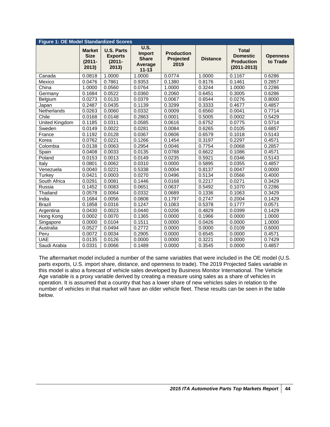| <b>Figure 1: OE Model Standardized Scores</b> |                                                    |                                                           |                                                               |                                        |                 |                                                                         |                             |  |
|-----------------------------------------------|----------------------------------------------------|-----------------------------------------------------------|---------------------------------------------------------------|----------------------------------------|-----------------|-------------------------------------------------------------------------|-----------------------------|--|
|                                               | <b>Market</b><br><b>Size</b><br>$(2011 -$<br>2013) | <b>U.S. Parts</b><br><b>Exports</b><br>$(2011 -$<br>2013) | U.S.<br><b>Import</b><br><b>Share</b><br>Average<br>$11 - 13$ | <b>Production</b><br>Projected<br>2019 | <b>Distance</b> | <b>Total</b><br><b>Domestic</b><br><b>Production</b><br>$(2011 - 2013)$ | <b>Openness</b><br>to Trade |  |
| Canada                                        | 0.0818                                             | 1.0000                                                    | 1.0000                                                        | 0.0774                                 | 1.0000          | 0.1167                                                                  | 0.6286                      |  |
| Mexico                                        | 0.0476                                             | 0.7861                                                    | 0.9353                                                        | 0.1380                                 | 0.8176          | 0.1461                                                                  | 0.2857                      |  |
| China                                         | 1.0000                                             | 0.0560                                                    | 0.0764                                                        | 1.0000                                 | 0.3244          | 1.0000                                                                  | 0.2286                      |  |
| Germany                                       | 0.1684                                             | 0.0522                                                    | 0.0360                                                        | 0.2060                                 | 0.6451          | 0.3005                                                                  | 0.6286                      |  |
| Belgium                                       | 0.0273                                             | 0.0133                                                    | 0.0379                                                        | 0.0067                                 | 0.6544          | 0.0276                                                                  | 0.8000                      |  |
| Japan                                         | 0.2487                                             | 0.0435                                                    | 0.1139                                                        | 0.3299                                 | 0.3333          | 0.4677                                                                  | 0.4857                      |  |
| Netherlands                                   | 0.0263                                             | 0.0060                                                    | 0.0332                                                        | 0.0009                                 | 0.6560          | 0.0041                                                                  | 0.7714                      |  |
| Chile                                         | 0.0168                                             | 0.0148                                                    | 0.2863                                                        | 0.0001                                 | 0.5005          | 0.0002                                                                  | 0.5429                      |  |
| United Kingdom                                | 0.1185                                             | 0.0311                                                    | 0.0585                                                        | 0.0616                                 | 0.6752          | 0.0775                                                                  | 0.5714                      |  |
| Sweden                                        | 0.0149                                             | 0.0022                                                    | 0.0281                                                        | 0.0084                                 | 0.6265          | 0.0105                                                                  | 0.6857                      |  |
| France                                        | 0.1192                                             | 0.0128                                                    | 0.0367                                                        | 0.0606                                 | 0.6579          | 0.1018                                                                  | 0.5143                      |  |
| Korea                                         | 0.0762                                             | 0.0221                                                    | 0.1266                                                        | 0.1454                                 | 0.3197          | 0.2297                                                                  | 0.4571                      |  |
| Colombia                                      | 0.0138                                             | 0.0063                                                    | 0.2954                                                        | 0.0046                                 | 0.7754          | 0.0068                                                                  | 0.2857                      |  |
| Spain                                         | 0.0408                                             | 0.0033                                                    | 0.0135                                                        | 0.0788                                 | 0.6622          | 0.1086                                                                  | 0.4571                      |  |
| Poland                                        | 0.0153                                             | 0.0013                                                    | 0.0149                                                        | 0.0235                                 | 0.5921          | 0.0346                                                                  | 0.5143                      |  |
| Italv                                         | 0.0801                                             | 0.0062                                                    | 0.0310                                                        | 0.0000                                 | 0.5895          | 0.0355                                                                  | 0.4857                      |  |
| Venezuela                                     | 0.0040                                             | 0.0221                                                    | 0.5338                                                        | 0.0004                                 | 0.8137          | 0.0047                                                                  | 0.0000                      |  |
| Turkey                                        | 0.0421                                             | 0.0003                                                    | 0.0270                                                        | 0.0496                                 | 0.5134          | 0.0566                                                                  | 0.4000                      |  |
| South Africa                                  | 0.0291                                             | 0.0081                                                    | 0.1446                                                        | 0.0168                                 | 0.2217          | 0.0271                                                                  | 0.3429                      |  |
| Russia                                        | 0.1452                                             | 0.0083                                                    | 0.0651                                                        | 0.0637                                 | 0.5492          | 0.1070                                                                  | 0.2286                      |  |
| Thailand                                      | 0.0578                                             | 0.0064                                                    | 0.0332                                                        | 0.0689                                 | 0.1336          | 0.1063                                                                  | 0.3429                      |  |
| India                                         | 0.1684                                             | 0.0056                                                    | 0.0808                                                        | 0.1797                                 | 0.2747          | 0.2004                                                                  | 0.1429                      |  |
| <b>Brazil</b>                                 | 0.1858                                             | 0.0316                                                    | 0.1247                                                        | 0.1063                                 | 0.5378          | 0.1777                                                                  | 0.0571                      |  |
| Argentina                                     | 0.0430                                             | 0.0023                                                    | 0.0440                                                        | 0.0206                                 | 0.4829          | 0.0399                                                                  | 0.1429                      |  |
| Hong Kong                                     | 0.0002                                             | 0.0070                                                    | 0.1365                                                        | 0.0000                                 | 0.1966          | 0.0000                                                                  | 1.0000                      |  |
| Singapore                                     | 0.0000                                             | 0.0104                                                    | 0.1511                                                        | 0.0000                                 | 0.0426          | 0.0000                                                                  | 1.0000                      |  |
| Australia                                     | 0.0527                                             | 0.0494                                                    | 0.2772                                                        | 0.0000                                 | 0.0000          | 0.0109                                                                  | 0.6000                      |  |
| Peru                                          | 0.0072                                             | 0.0034                                                    | 0.2905                                                        | 0.0000                                 | 0.6545          | 0.0000                                                                  | 0.4571                      |  |
| <b>UAE</b>                                    | 0.0135                                             | 0.0126                                                    | 0.0000                                                        | 0.0000                                 | 0.3221          | 0.0000                                                                  | 0.7429                      |  |
| Saudi Arabia                                  | 0.0331                                             | 0.0066                                                    | 0.1489                                                        | 0.0000                                 | 0.3545          | 0.0000                                                                  | 0.4857                      |  |

<span id="page-45-0"></span>The aftermarket model included a number of the same variables that were included in the OE model (U.S. parts exports, U.S. import share, distance, and openness to trade). The 2019 Projected Sales variable in this model is also a forecast of vehicle sales developed by Business Monitor International. The Vehicle Age variable is a proxy variable derived by creating a measure using sales as a share of vehicles in operation. It is assumed that a country that has a lower share of new vehicles sales in relation to the number of vehicles in that market will have an older vehicle fleet. These results can be seen in the table below.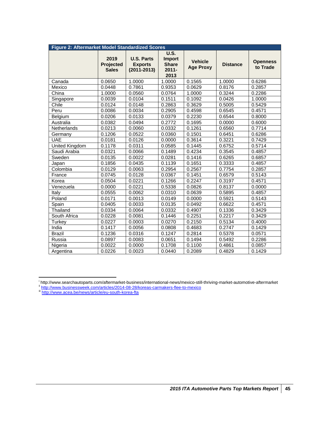| Figure 2: Aftermarket Model Standardized Scores |                                   |                                                        |                                                                  |                                    |                 |                             |  |
|-------------------------------------------------|-----------------------------------|--------------------------------------------------------|------------------------------------------------------------------|------------------------------------|-----------------|-----------------------------|--|
|                                                 | 2019<br>Projected<br><b>Sales</b> | <b>U.S. Parts</b><br><b>Exports</b><br>$(2011 - 2013)$ | <b>U.S.</b><br><b>Import</b><br><b>Share</b><br>$2011 -$<br>2013 | <b>Vehicle</b><br><b>Age Proxy</b> | <b>Distance</b> | <b>Openness</b><br>to Trade |  |
| Canada                                          | 0.0650                            | 1.0000                                                 | 1.0000                                                           | 0.1565                             | 1.0000          | 0.6286                      |  |
| Mexico                                          | 0.0448                            | 0.7861                                                 | 0.9353                                                           | 0.0629                             | 0.8176          | 0.2857                      |  |
| China                                           | 1.0000                            | 0.0560                                                 | 0.0764                                                           | 1.0000                             | 0.3244          | 0.2286                      |  |
| Singapore                                       | 0.0039                            | 0.0104                                                 | 0.1511                                                           | 0.1092                             | 0.0426          | 1.0000                      |  |
| Chile                                           | 0.0124                            | 0.0148                                                 | 0.2863                                                           | 0.3629                             | 0.5005          | 0.5429                      |  |
| Peru                                            | 0.0086                            | 0.0034                                                 | 0.2905                                                           | 0.4598                             | 0.6545          | 0.4571                      |  |
| Belgium                                         | 0.0206                            | 0.0133                                                 | 0.0379                                                           | 0.2230                             | 0.6544          | 0.8000                      |  |
| Australia                                       | 0.0382                            | 0.0494                                                 | 0.2772                                                           | 0.1695                             | 0.0000          | 0.6000                      |  |
| Netherlands                                     | 0.0213                            | 0.0060                                                 | 0.0332                                                           | 0.1261                             | 0.6560          | 0.7714                      |  |
| Germany                                         | 0.1206                            | 0.0522                                                 | 0.0360                                                           | 0.1501                             | 0.6451          | 0.6286                      |  |
| <b>UAE</b>                                      | 0.0181                            | 0.0126                                                 | 0.0000                                                           | 0.3614                             | 0.3221          | 0.7429                      |  |
| United Kingdom                                  | 0.1178                            | 0.0311                                                 | 0.0585                                                           | 0.1445                             | 0.6752          | 0.5714                      |  |
| Saudi Arabia                                    | 0.0321                            | 0.0066                                                 | 0.1489                                                           | 0.4234                             | 0.3545          | 0.4857                      |  |
| Sweden                                          | 0.0135                            | 0.0022                                                 | 0.0281                                                           | 0.1416                             | 0.6265          | 0.6857                      |  |
| Japan                                           | 0.1856                            | 0.0435                                                 | 0.1139                                                           | 0.1651                             | 0.3333          | 0.4857                      |  |
| Colombia                                        | 0.0129                            | 0.0063                                                 | 0.2954                                                           | 0.2567                             | 0.7754          | 0.2857                      |  |
| France                                          | 0.0745                            | 0.0128                                                 | 0.0367                                                           | 0.1451                             | 0.6579          | 0.5143                      |  |
| Korea                                           | 0.0504                            | 0.0221                                                 | 0.1266                                                           | 0.2247                             | 0.3197          | 0.4571                      |  |
| Venezuela                                       | 0.0000                            | 0.0221                                                 | 0.5338                                                           | 0.0826                             | 0.8137          | 0.0000                      |  |
| Italy                                           | 0.0555                            | 0.0062                                                 | 0.0310                                                           | 0.0639                             | 0.5895          | 0.4857                      |  |
| Poland                                          | 0.0171                            | 0.0013                                                 | 0.0149                                                           | 0.0000                             | 0.5921          | 0.5143                      |  |
| Spain                                           | 0.0405                            | 0.0033                                                 | 0.0135                                                           | 0.0492                             | 0.6622          | 0.4571                      |  |
| Thailand                                        | 0.0334                            | 0.0064                                                 | 0.0332                                                           | 0.4907                             | 0.1336          | 0.3429                      |  |
| South Africa                                    | 0.0228                            | 0.0081                                                 | 0.1446                                                           | 0.2251                             | 0.2217          | 0.3429                      |  |
| Turkey                                          | 0.0227                            | 0.0003                                                 | 0.0270                                                           | 0.2150                             | 0.5134          | 0.4000                      |  |
| India                                           | 0.1417                            | 0.0056                                                 | 0.0808                                                           | 0.4683                             | 0.2747          | 0.1429                      |  |
| <b>Brazil</b>                                   | 0.1236                            | 0.0316                                                 | 0.1247                                                           | 0.2814                             | 0.5378          | 0.0571                      |  |
| Russia                                          | 0.0897                            | 0.0083                                                 | 0.0651                                                           | 0.1494                             | 0.5492          | 0.2286                      |  |
| Nigeria                                         | 0.0022                            | 0.0000                                                 | 0.1708                                                           | 0.1100                             | 0.4861          | 0.0857                      |  |
| Argentina                                       | 0.0226                            | 0.0023                                                 | 0.0440                                                           | 0.2089                             | 0.4829          | 0.1429                      |  |

 i <sup>i</sup>http://www.searchautoparts.com/aftermarket-business/international-news/mexico-still-thriving-market-automotive-aftermarket<br>iiint<u><http://www.businessweek.com/articles/2014-08-28/koreas-carmakers-flee-to-mexico>lnexticolne</u>

- <span id="page-46-0"></span>
- <span id="page-46-1"></span>